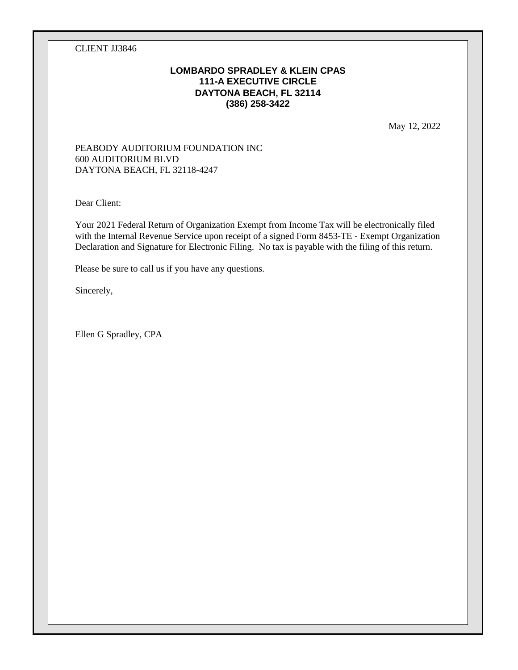CLIENT JJ3846

### **LOMBARDO SPRADLEY & KLEIN CPAS 111-A EXECUTIVE CIRCLE DAYTONA BEACH, FL 32114 (386) 258-3422**

May 12, 2022

#### PEABODY AUDITORIUM FOUNDATION INC 600 AUDITORIUM BLVD DAYTONA BEACH, FL 32118-4247

Dear Client:

Your 2021 Federal Return of Organization Exempt from Income Tax will be electronically filed with the Internal Revenue Service upon receipt of a signed Form 8453-TE - Exempt Organization Declaration and Signature for Electronic Filing. No tax is payable with the filing of this return.

Please be sure to call us if you have any questions.

Sincerely,

Ellen G Spradley, CPA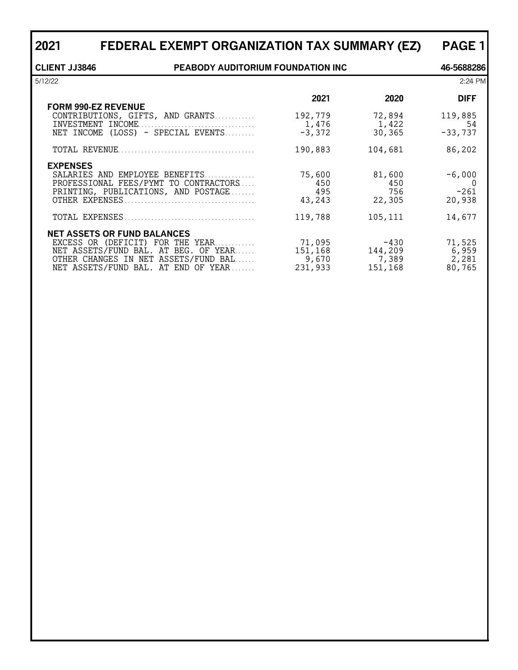| 2021                 | FEDERAL EXEMPT ORGANIZATION TAX SUMMARY (EZ)                                                                   |                                |                                | <b>PAGE 1</b>                     |  |  |  |
|----------------------|----------------------------------------------------------------------------------------------------------------|--------------------------------|--------------------------------|-----------------------------------|--|--|--|
| <b>CLIENT JJ3846</b> | PEABODY AUDITORIUM FOUNDATION INC                                                                              |                                |                                |                                   |  |  |  |
| 5/12/22              |                                                                                                                |                                |                                | 2:24 PM                           |  |  |  |
|                      | <b>FORM 990-EZ REVENUE</b>                                                                                     | 2021                           | 2020                           | <b>DIFF</b>                       |  |  |  |
|                      | CONTRIBUTIONS, GIFTS, AND GRANTS<br>INVESTMENT INCOME<br>NET INCOME (LOSS) - SPECIAL EVENTS                    | 192,779<br>1,476<br>$-3,372$   | 72,894<br>1,422<br>30,365      | 119,885<br>54<br>$-33,737$        |  |  |  |
|                      |                                                                                                                | 190,883                        | 104,681                        | 86,202                            |  |  |  |
| <b>EXPENSES</b>      | SALARIES AND EMPLOYEE BENEFITS<br>PROFESSIONAL FEES/PYMT TO CONTRACTORS<br>PRINTING, PUBLICATIONS, AND POSTAGE | 75,600<br>450<br>495<br>43,243 | 81,600<br>450<br>756<br>22,305 | $-6,000$<br>0<br>$-261$<br>20,938 |  |  |  |
|                      |                                                                                                                | 119,788                        | 105,111                        | 14,677                            |  |  |  |
|                      | <b>NET ASSETS OR FUND BALANCES</b><br>EXCESS OR (DEFICIT) FOR THE YEAR                                         | 71,095                         | $-430$                         | 71,525                            |  |  |  |

NET ASSETS/FUND BAL. AT BEG. OF YEAR...... 151,168 144,209 6,959 OTHER CHANGES IN NET ASSETS/FUND BAL. . . . . . 9,670 7,389 2,281 NET ASSETS/FUND BAL. AT END OF YEAR. . . . . . . . 231,933 151,168 80,765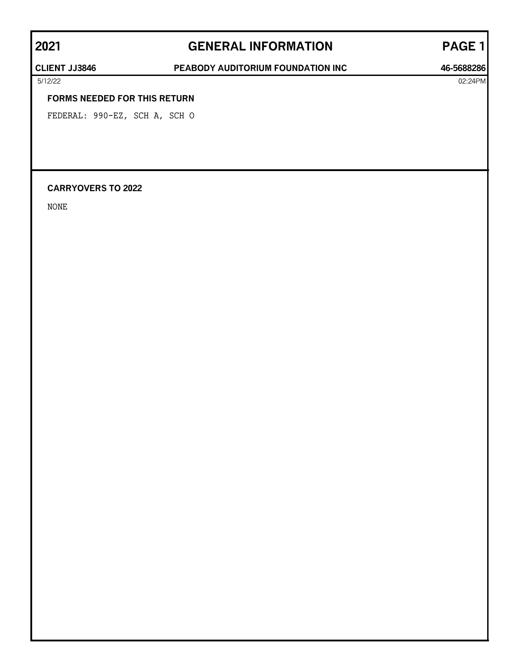# **2021 GENERAL INFORMATION PAGE 1**

### **CLIENT JJ3846 PEABODY AUDITORIUM FOUNDATION INC 46-5688286**

#### **FORMS NEEDED FOR THIS RETURN**

FEDERAL: 990-EZ, SCH A, SCH O

### **CARRYOVERS TO 2022**

NONE

5/12/22 02:24PM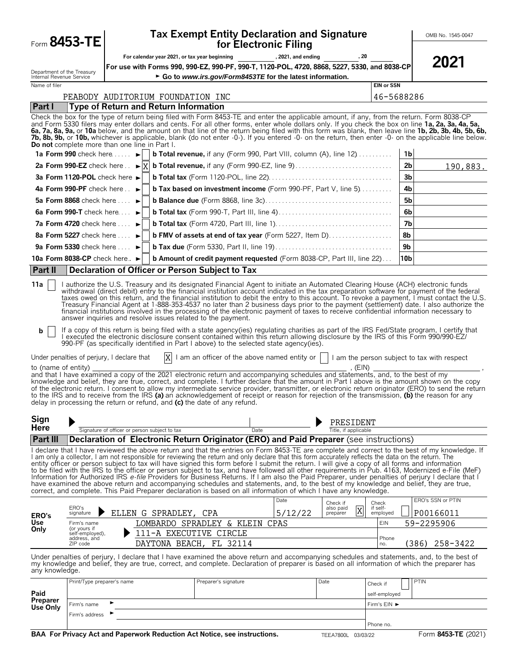| Form 8453-TE                                                            |                                             |                                                                                                                                                                                                                                                                                  |                                               |                      |      | for Electronic Filing                                    | <b>Tax Exempt Entity Declaration and Signature</b>                                                                                                                                                                                                                                                                                                                                                                         |                                    |                 | OMB No. 1545-0047                                                                                                                                                                                                                                                                                                                                                                                                                                                                                                                                                                                                                                                                                                                                                                                                                                                                                                                                                                                                                                                                                                                                                                                                                                                           |
|-------------------------------------------------------------------------|---------------------------------------------|----------------------------------------------------------------------------------------------------------------------------------------------------------------------------------------------------------------------------------------------------------------------------------|-----------------------------------------------|----------------------|------|----------------------------------------------------------|----------------------------------------------------------------------------------------------------------------------------------------------------------------------------------------------------------------------------------------------------------------------------------------------------------------------------------------------------------------------------------------------------------------------------|------------------------------------|-----------------|-----------------------------------------------------------------------------------------------------------------------------------------------------------------------------------------------------------------------------------------------------------------------------------------------------------------------------------------------------------------------------------------------------------------------------------------------------------------------------------------------------------------------------------------------------------------------------------------------------------------------------------------------------------------------------------------------------------------------------------------------------------------------------------------------------------------------------------------------------------------------------------------------------------------------------------------------------------------------------------------------------------------------------------------------------------------------------------------------------------------------------------------------------------------------------------------------------------------------------------------------------------------------------|
|                                                                         |                                             |                                                                                                                                                                                                                                                                                  | For calendar year 2021, or tax year beginning |                      |      |                                                          | , 2021, and ending (30), 20                                                                                                                                                                                                                                                                                                                                                                                                |                                    |                 | 2021                                                                                                                                                                                                                                                                                                                                                                                                                                                                                                                                                                                                                                                                                                                                                                                                                                                                                                                                                                                                                                                                                                                                                                                                                                                                        |
|                                                                         |                                             |                                                                                                                                                                                                                                                                                  |                                               |                      |      |                                                          | For use with Forms 990, 990-EZ, 990-PF, 990-T, 1120-POL, 4720, 8868, 5227, 5330, and 8038-CP                                                                                                                                                                                                                                                                                                                               |                                    |                 |                                                                                                                                                                                                                                                                                                                                                                                                                                                                                                                                                                                                                                                                                                                                                                                                                                                                                                                                                                                                                                                                                                                                                                                                                                                                             |
| Department of the Treasury<br>Internal Revenue Service<br>Name of filer |                                             |                                                                                                                                                                                                                                                                                  |                                               |                      |      | Go to www.irs.gov/Form8453TE for the latest information. |                                                                                                                                                                                                                                                                                                                                                                                                                            | <b>EIN or SSN</b>                  |                 |                                                                                                                                                                                                                                                                                                                                                                                                                                                                                                                                                                                                                                                                                                                                                                                                                                                                                                                                                                                                                                                                                                                                                                                                                                                                             |
|                                                                         |                                             | PEABODY AUDITORIUM FOUNDATION INC                                                                                                                                                                                                                                                |                                               |                      |      |                                                          |                                                                                                                                                                                                                                                                                                                                                                                                                            | 46-5688286                         |                 |                                                                                                                                                                                                                                                                                                                                                                                                                                                                                                                                                                                                                                                                                                                                                                                                                                                                                                                                                                                                                                                                                                                                                                                                                                                                             |
| Part I                                                                  |                                             | Type of Return and Return Information                                                                                                                                                                                                                                            |                                               |                      |      |                                                          |                                                                                                                                                                                                                                                                                                                                                                                                                            |                                    |                 |                                                                                                                                                                                                                                                                                                                                                                                                                                                                                                                                                                                                                                                                                                                                                                                                                                                                                                                                                                                                                                                                                                                                                                                                                                                                             |
|                                                                         |                                             | Do not complete more than one line in Part I.                                                                                                                                                                                                                                    |                                               |                      |      |                                                          |                                                                                                                                                                                                                                                                                                                                                                                                                            |                                    |                 | Check the box for the type of return being filed with Form 8453-TE and enter the applicable amount, if any, from the return. Form 8038-CP<br>and Form 5330 filers may enter dollars and cents. For all other forms, enter whole dollars only. If you check the box on line 1a, 2a, 3a, 4a, 5a,<br>6a, 7a, 8a, 9a, or 10a below, and the amount on that line of the return being filed with this form was blank, then leave line 1b, 2b, 3b, 4b, 5b, 6b,<br>7b, 8b, 9b, or 10b, whichever is applicable, blank (do not enter -0-). If you entered -0- on the return, then enter -0- on the applicable line below.                                                                                                                                                                                                                                                                                                                                                                                                                                                                                                                                                                                                                                                            |
|                                                                         |                                             | 1a Form 990 check here $\dots$                                                                                                                                                                                                                                                   |                                               |                      |      |                                                          | <b>b Total revenue,</b> if any (Form 990, Part VIII, column (A), line $12$ )                                                                                                                                                                                                                                                                                                                                               |                                    | 1 <sub>b</sub>  |                                                                                                                                                                                                                                                                                                                                                                                                                                                                                                                                                                                                                                                                                                                                                                                                                                                                                                                                                                                                                                                                                                                                                                                                                                                                             |
|                                                                         |                                             |                                                                                                                                                                                                                                                                                  |                                               |                      |      |                                                          |                                                                                                                                                                                                                                                                                                                                                                                                                            |                                    | 2 <sub>b</sub>  | 190,883.                                                                                                                                                                                                                                                                                                                                                                                                                                                                                                                                                                                                                                                                                                                                                                                                                                                                                                                                                                                                                                                                                                                                                                                                                                                                    |
|                                                                         |                                             | 3a Form 1120-POL check here $\blacktriangleright$                                                                                                                                                                                                                                |                                               |                      |      |                                                          |                                                                                                                                                                                                                                                                                                                                                                                                                            |                                    | 3 <sub>b</sub>  |                                                                                                                                                                                                                                                                                                                                                                                                                                                                                                                                                                                                                                                                                                                                                                                                                                                                                                                                                                                                                                                                                                                                                                                                                                                                             |
|                                                                         |                                             | 4a Form 990-PF check here $\blacktriangleright$                                                                                                                                                                                                                                  |                                               |                      |      |                                                          | <b>b Tax based on investment income</b> (Form 990-PF, Part V, line 5)                                                                                                                                                                                                                                                                                                                                                      |                                    | 4 <sub>b</sub>  |                                                                                                                                                                                                                                                                                                                                                                                                                                                                                                                                                                                                                                                                                                                                                                                                                                                                                                                                                                                                                                                                                                                                                                                                                                                                             |
|                                                                         |                                             | 5a Form 8868 check here $\ldots$                                                                                                                                                                                                                                                 |                                               |                      |      |                                                          |                                                                                                                                                                                                                                                                                                                                                                                                                            |                                    | 5 <sub>b</sub>  |                                                                                                                                                                                                                                                                                                                                                                                                                                                                                                                                                                                                                                                                                                                                                                                                                                                                                                                                                                                                                                                                                                                                                                                                                                                                             |
|                                                                         |                                             | 6a Form 990-T check here $\ldots$                                                                                                                                                                                                                                                |                                               |                      |      |                                                          |                                                                                                                                                                                                                                                                                                                                                                                                                            |                                    | 6 <sub>b</sub>  |                                                                                                                                                                                                                                                                                                                                                                                                                                                                                                                                                                                                                                                                                                                                                                                                                                                                                                                                                                                                                                                                                                                                                                                                                                                                             |
|                                                                         |                                             | <b>7a Form 4720</b> check here $\ldots$                                                                                                                                                                                                                                          |                                               |                      |      |                                                          |                                                                                                                                                                                                                                                                                                                                                                                                                            |                                    | 7 <sub>b</sub>  |                                                                                                                                                                                                                                                                                                                                                                                                                                                                                                                                                                                                                                                                                                                                                                                                                                                                                                                                                                                                                                                                                                                                                                                                                                                                             |
|                                                                         |                                             | 8a Form 5227 check here                                                                                                                                                                                                                                                          |                                               |                      |      |                                                          | b FMV of assets at end of tax year (Form 5227, Item D)                                                                                                                                                                                                                                                                                                                                                                     |                                    | 8b              |                                                                                                                                                                                                                                                                                                                                                                                                                                                                                                                                                                                                                                                                                                                                                                                                                                                                                                                                                                                                                                                                                                                                                                                                                                                                             |
|                                                                         |                                             | 9a Form 5330 check here $\ldots$                                                                                                                                                                                                                                                 |                                               |                      |      |                                                          |                                                                                                                                                                                                                                                                                                                                                                                                                            |                                    | 9 <sub>b</sub>  |                                                                                                                                                                                                                                                                                                                                                                                                                                                                                                                                                                                                                                                                                                                                                                                                                                                                                                                                                                                                                                                                                                                                                                                                                                                                             |
| 10a Form 8038-CP check here                                             |                                             |                                                                                                                                                                                                                                                                                  |                                               |                      |      |                                                          | <b>b Amount of credit payment requested</b> (Form 8038-CP, Part III, line 22)                                                                                                                                                                                                                                                                                                                                              |                                    | 10 <sub>b</sub> |                                                                                                                                                                                                                                                                                                                                                                                                                                                                                                                                                                                                                                                                                                                                                                                                                                                                                                                                                                                                                                                                                                                                                                                                                                                                             |
| Part II                                                                 |                                             | Declaration of Officer or Person Subject to Tax                                                                                                                                                                                                                                  |                                               |                      |      |                                                          |                                                                                                                                                                                                                                                                                                                                                                                                                            |                                    |                 |                                                                                                                                                                                                                                                                                                                                                                                                                                                                                                                                                                                                                                                                                                                                                                                                                                                                                                                                                                                                                                                                                                                                                                                                                                                                             |
| b<br>Sign                                                               |                                             | answer inquiries and resolve issues related to the payment.<br>990-PF (as specifically identified in Part I above) to the selected state agency(ies).<br>Under penalties of perjury, I declare that<br>delay in processing the return or refund, and (c) the date of any refund. |                                               |                      |      |                                                          | to (name of entity)<br>and that I have examined a copy of the 2021 electronic return and accompanying schedules and statements, and, to the best of my<br>PRESIDENT                                                                                                                                                                                                                                                        |                                    |                 | taxes owed on this return, and the financial institution to debit the entry to this account. To revoke a payment, I must contact the U.S.<br>Treasury Financial Agent at 1-888-353-4537 no later than 2 business days prior to the payment (settlement) date. I also authorize the<br>financial institutions involved in the processing of the electronic payment of taxes to receive confidential information necessary to<br>If a copy of this return is being filed with a state agency(ies) regulating charities as part of the IRS Fed/State program, I certify that<br>executed the electronic disclosure consent contained within this return allowing disclosure by the IRS of this Form 990/990-EZ/<br>$ X $ I am an officer of the above named entity or $ $ I am the person subject to tax with respect<br>knowledge and belief, they are true, correct, and complete. I further declare that the amount in Part I above is the amount shown on the copy<br>of the electronic return. I consent to allow my intermediate service provider, transmitter, or electronic return originator (ERO) to send the return<br>to the IRS and to receive from the IRS (a) an acknowledgement of receipt or reason for rejection of the transmission, (b) the reason for any |
| <b>Here</b>                                                             |                                             | Signature of officer or person subject to tax                                                                                                                                                                                                                                    |                                               |                      | Date |                                                          | Title, if applicable                                                                                                                                                                                                                                                                                                                                                                                                       |                                    |                 |                                                                                                                                                                                                                                                                                                                                                                                                                                                                                                                                                                                                                                                                                                                                                                                                                                                                                                                                                                                                                                                                                                                                                                                                                                                                             |
| Part III                                                                |                                             |                                                                                                                                                                                                                                                                                  |                                               |                      |      |                                                          | Declaration of Electronic Return Originator (ERO) and Paid Preparer (see instructions)                                                                                                                                                                                                                                                                                                                                     |                                    |                 |                                                                                                                                                                                                                                                                                                                                                                                                                                                                                                                                                                                                                                                                                                                                                                                                                                                                                                                                                                                                                                                                                                                                                                                                                                                                             |
|                                                                         |                                             |                                                                                                                                                                                                                                                                                  |                                               |                      |      |                                                          | I am only a collector, I am not responsible for reviewing the return and only declare that this form accurately reflects the data on the return. The<br>entity officer or person subject to tax will have signed this form before I submit the return. I will give a copy of all forms and information<br>correct, and complete. This Paid Preparer declaration is based on all information of which I have any knowledge. |                                    |                 | I declare that I have reviewed the above return and that the entries on Form 8453-TE are complete and correct to the best of my knowledge. If<br>to be filed with the IRS to the officer or person subject to tax, and have followed all other requirements in Pub. 4163, Modernized e-File (MeF)<br>Information for Authorized IRS e-file Providers for Business Returns. If I am also the Paid Preparer, under penalties of perjury I declare that I<br>have examined the above return and accompanying schedules and statements, and, to the best of my knowledge and belief, they are true,                                                                                                                                                                                                                                                                                                                                                                                                                                                                                                                                                                                                                                                                             |
|                                                                         | ERO's                                       |                                                                                                                                                                                                                                                                                  |                                               |                      |      | Date                                                     | Check if<br>also paid<br>$\overline{\text{X}}$                                                                                                                                                                                                                                                                                                                                                                             | Check<br>if self-                  |                 | ERO's SSN or PTIN                                                                                                                                                                                                                                                                                                                                                                                                                                                                                                                                                                                                                                                                                                                                                                                                                                                                                                                                                                                                                                                                                                                                                                                                                                                           |
| ERO's                                                                   | signature                                   |                                                                                                                                                                                                                                                                                  | ELLEN G SPRADLEY, CPA                         |                      |      | 5/12/22                                                  | preparer                                                                                                                                                                                                                                                                                                                                                                                                                   | employed                           |                 | P00166011                                                                                                                                                                                                                                                                                                                                                                                                                                                                                                                                                                                                                                                                                                                                                                                                                                                                                                                                                                                                                                                                                                                                                                                                                                                                   |
| <b>Use</b><br>Only                                                      | Firm's name<br>(or yours if                 |                                                                                                                                                                                                                                                                                  | LOMBARDO SPRADLEY & KLEIN                     |                      |      | CPAS                                                     |                                                                                                                                                                                                                                                                                                                                                                                                                            | <b>EIN</b>                         |                 | 59-2295906                                                                                                                                                                                                                                                                                                                                                                                                                                                                                                                                                                                                                                                                                                                                                                                                                                                                                                                                                                                                                                                                                                                                                                                                                                                                  |
|                                                                         | self-employed),<br>address, and<br>ZIP code |                                                                                                                                                                                                                                                                                  | 111-A EXECUTIVE CIRCLE<br>DAYTONA BEACH,      | FL 32114             |      |                                                          |                                                                                                                                                                                                                                                                                                                                                                                                                            | Phone<br>no.                       |                 | 258-3422<br>(386)                                                                                                                                                                                                                                                                                                                                                                                                                                                                                                                                                                                                                                                                                                                                                                                                                                                                                                                                                                                                                                                                                                                                                                                                                                                           |
| any knowledge.                                                          |                                             |                                                                                                                                                                                                                                                                                  |                                               |                      |      |                                                          |                                                                                                                                                                                                                                                                                                                                                                                                                            |                                    |                 | Under penalties of perjury, I declare that I have examined the above return and accompanying schedules and statements, and, to the best of<br>my knowledge and belief, they are true, correct, and complete. Declaration of preparer is based on all information of which the preparer has                                                                                                                                                                                                                                                                                                                                                                                                                                                                                                                                                                                                                                                                                                                                                                                                                                                                                                                                                                                  |
|                                                                         | Print/Type preparer's name                  |                                                                                                                                                                                                                                                                                  |                                               | Preparer's signature |      |                                                          | Date                                                                                                                                                                                                                                                                                                                                                                                                                       | Check if                           |                 | PTIN                                                                                                                                                                                                                                                                                                                                                                                                                                                                                                                                                                                                                                                                                                                                                                                                                                                                                                                                                                                                                                                                                                                                                                                                                                                                        |
| Paid                                                                    |                                             |                                                                                                                                                                                                                                                                                  |                                               |                      |      |                                                          |                                                                                                                                                                                                                                                                                                                                                                                                                            | self-employed                      |                 |                                                                                                                                                                                                                                                                                                                                                                                                                                                                                                                                                                                                                                                                                                                                                                                                                                                                                                                                                                                                                                                                                                                                                                                                                                                                             |
| Preparer<br>Use Only                                                    | Firm's name                                 | ►                                                                                                                                                                                                                                                                                |                                               |                      |      |                                                          |                                                                                                                                                                                                                                                                                                                                                                                                                            | Firm's $EIN$ $\blacktriangleright$ |                 |                                                                                                                                                                                                                                                                                                                                                                                                                                                                                                                                                                                                                                                                                                                                                                                                                                                                                                                                                                                                                                                                                                                                                                                                                                                                             |
| Firm's address                                                          |                                             |                                                                                                                                                                                                                                                                                  |                                               |                      |      |                                                          |                                                                                                                                                                                                                                                                                                                                                                                                                            |                                    |                 |                                                                                                                                                                                                                                                                                                                                                                                                                                                                                                                                                                                                                                                                                                                                                                                                                                                                                                                                                                                                                                                                                                                                                                                                                                                                             |
|                                                                         |                                             | BAA For Privacy Act and Paperwork Reduction Act Notice, see instructions.                                                                                                                                                                                                        |                                               |                      |      |                                                          | TEEA7800L 03/03/22                                                                                                                                                                                                                                                                                                                                                                                                         | Phone no.                          |                 | Form 8453-TE (2021)                                                                                                                                                                                                                                                                                                                                                                                                                                                                                                                                                                                                                                                                                                                                                                                                                                                                                                                                                                                                                                                                                                                                                                                                                                                         |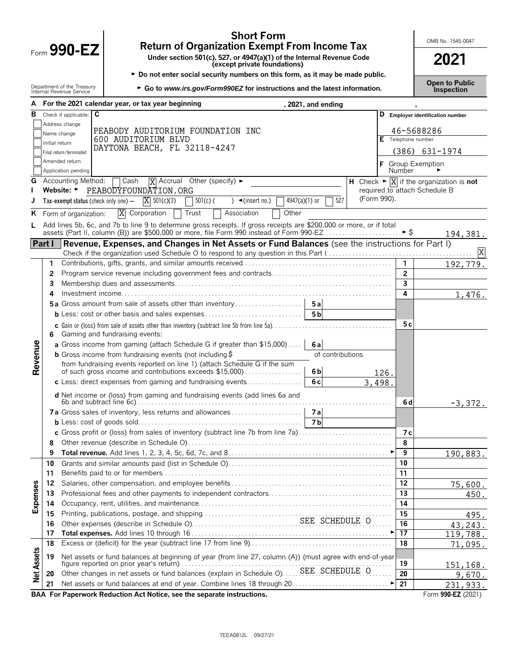|                   |                |                                                        | <b>Short Form</b><br><b>Return of Organization Exempt From Income Tax</b>                                            |                       | OMB No. 1545-0047                                                    |
|-------------------|----------------|--------------------------------------------------------|----------------------------------------------------------------------------------------------------------------------|-----------------------|----------------------------------------------------------------------|
|                   |                | Form $990 - EZ$                                        | Under section 501(c), 527, or 4947(a)(1) of the Internal Revenue Code<br>(except private foundations)                |                       | 2021                                                                 |
|                   |                |                                                        | Do not enter social security numbers on this form, as it may be made public.                                         |                       | <b>Open to Public</b>                                                |
|                   |                | Department of the Treasury<br>Internal Revenue Service | ► Go to www.irs.gov/Form990EZ for instructions and the latest information.                                           |                       | <b>Inspection</b>                                                    |
|                   |                |                                                        | For the 2021 calendar year, or tax year beginning<br>, 2021, and ending                                              |                       |                                                                      |
| в                 |                | Check if applicable: C                                 |                                                                                                                      | D                     | <b>Employer identification number</b>                                |
|                   |                | Address change                                         | PEABODY AUDITORIUM FOUNDATION INC                                                                                    |                       | 46-5688286                                                           |
|                   |                | Name change                                            | 600 AUDITORIUM BLVD                                                                                                  | Telephone number<br>Е |                                                                      |
|                   | Initial return | Final return/terminated                                | DAYTONA BEACH, FL 32118-4247                                                                                         |                       | $(386)$ 631-1974                                                     |
|                   |                | Amended return                                         |                                                                                                                      |                       |                                                                      |
|                   |                | Application pending                                    |                                                                                                                      | <b>Number</b>         | F Group Exemption                                                    |
| G                 |                | Accounting Method:                                     | Cash<br>$\overline{X}$ Accrual Other (specify) $\blacktriangleright$                                                 |                       | H Check $\triangleright \boxed{X}$ if the organization is <b>not</b> |
|                   |                | Website: ►                                             | PEABODYFOUNDATION.ORG                                                                                                |                       | required to attach Schedule B                                        |
|                   |                | Tax-exempt status (check only one) $-$                 | $4947(a)(1)$ or<br>527<br>$X = 501(c)(3)$<br>$501(c)$ (<br>$\rightarrow$ (insert no.)                                | (Form 990).           |                                                                      |
| ĸ                 |                | Form of organization:                                  | Other<br>X<br>Corporation<br>Trust<br>Association                                                                    |                       |                                                                      |
|                   |                |                                                        | Add lines 5b, 6c, and 7b to line 9 to determine gross receipts. If gross receipts are \$200,000 or more, or if total |                       |                                                                      |
|                   |                |                                                        |                                                                                                                      |                       | 194,381.                                                             |
|                   |                |                                                        | Part I Revenue, Expenses, and Changes in Net Assets or Fund Balances (see the instructions for Part I)               |                       |                                                                      |
|                   |                |                                                        |                                                                                                                      |                       |                                                                      |
|                   | 1              |                                                        |                                                                                                                      | $\mathbf{1}$          | 192,779.                                                             |
|                   | 2              |                                                        |                                                                                                                      | $\overline{2}$        |                                                                      |
|                   | 3              |                                                        |                                                                                                                      | 3                     |                                                                      |
|                   | 4              |                                                        |                                                                                                                      | 4                     | 1,476.                                                               |
|                   |                |                                                        | <b>5a</b> Gross amount from sale of assets other than inventory<br>5a<br>5 <sub>b</sub>                              |                       |                                                                      |
|                   |                |                                                        |                                                                                                                      | 5 c                   |                                                                      |
|                   | 6.             |                                                        | Gaming and fundraising events:                                                                                       |                       |                                                                      |
|                   |                |                                                        | a Gross income from gaming (attach Schedule G if greater than \$15,000)<br>6al                                       |                       |                                                                      |
|                   |                |                                                        | <b>b</b> Gross income from fundraising events (not including $\ddot{\theta}$<br>of contributions                     |                       |                                                                      |
| Revenue           |                |                                                        | from fundraising events reported on line 1) (attach Schedule G if the sum                                            |                       |                                                                      |
|                   |                |                                                        | of such gross income and contributions exceeds \$15,000)<br>6 <sub>b</sub>                                           | 126.                  |                                                                      |
|                   |                |                                                        | 6c<br>c Less: direct expenses from gaming and fundraising events $\ldots$                                            | 3,498.                |                                                                      |
|                   |                |                                                        | d Net income or (loss) from gaming and fundraising events (add lines 6a and                                          |                       |                                                                      |
|                   |                |                                                        |                                                                                                                      | 6 d                   | $-3,372.$                                                            |
|                   |                |                                                        |                                                                                                                      |                       |                                                                      |
|                   |                |                                                        | <b>7b</b>                                                                                                            |                       |                                                                      |
|                   |                |                                                        | c Gross profit or (loss) from sales of inventory (subtract line 7b from line 7a)                                     | 7 с<br>8              |                                                                      |
|                   | 8<br>9         |                                                        |                                                                                                                      | 9                     |                                                                      |
|                   | 10             |                                                        |                                                                                                                      | 10                    | 190,883.                                                             |
|                   | 11             |                                                        |                                                                                                                      | 11                    |                                                                      |
|                   | 12             |                                                        |                                                                                                                      | 12                    | 75,600.                                                              |
| Expenses          | 13             |                                                        |                                                                                                                      | 13                    | 450.                                                                 |
|                   | 14             |                                                        |                                                                                                                      | 14                    |                                                                      |
|                   | 15             |                                                        |                                                                                                                      | 15                    | 495.                                                                 |
|                   | 16             |                                                        |                                                                                                                      | 16                    | 43,243.                                                              |
|                   | 17             |                                                        |                                                                                                                      | $\overline{17}$       | 119,788.                                                             |
|                   | 18             |                                                        |                                                                                                                      | 18                    | 71,095.                                                              |
| <b>Net Assets</b> | 19             |                                                        | Net assets or fund balances at beginning of year (from line 27, column (A)) (must agree with end-of-year             |                       |                                                                      |
|                   |                |                                                        | Other changes in net assets or fund balances (explain in Schedule O) SEE SCHEDULE O                                  | 19<br>20              | <u>151,168.</u>                                                      |
|                   | 20<br>21       |                                                        |                                                                                                                      | 21                    | 9,670.                                                               |
|                   |                |                                                        |                                                                                                                      |                       | 231,933.                                                             |

**BAA For Paperwork Reduction Act Notice, see the separate instructions. Form 990-EZ (2021)** Form 990-EZ (2021)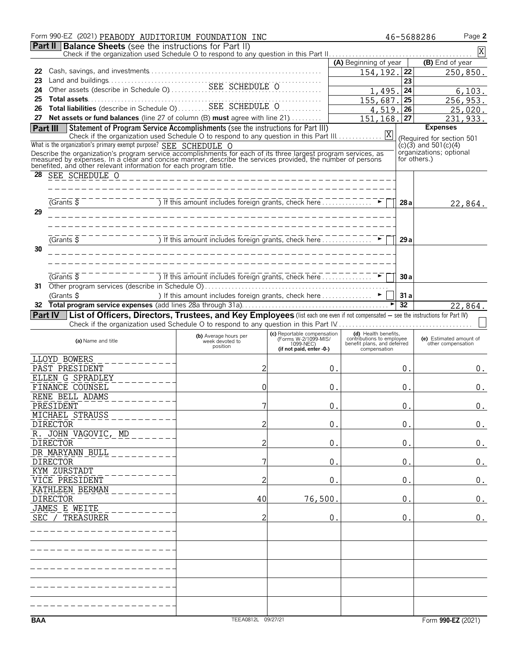|                                                                                 | Form 990-EZ (2021) PEABODY AUDITORIUM FOUNDATION INC                                                                                                                                                                                  |                                                                                    |                             |                                                          | 46-5688286         | Page 2                                               |  |  |  |
|---------------------------------------------------------------------------------|---------------------------------------------------------------------------------------------------------------------------------------------------------------------------------------------------------------------------------------|------------------------------------------------------------------------------------|-----------------------------|----------------------------------------------------------|--------------------|------------------------------------------------------|--|--|--|
| <b>Part II Balance Sheets</b> (see the instructions for Part II)<br>$\mathbf X$ |                                                                                                                                                                                                                                       |                                                                                    |                             |                                                          |                    |                                                      |  |  |  |
|                                                                                 |                                                                                                                                                                                                                                       |                                                                                    |                             | (A) Beginning of year                                    |                    | (B) End of year                                      |  |  |  |
| 22<br>23                                                                        |                                                                                                                                                                                                                                       |                                                                                    |                             | 154,192.                                                 | 22<br>23           | 250,850.                                             |  |  |  |
| 24                                                                              |                                                                                                                                                                                                                                       | 1,495.                                                                             | 24                          | 6, 103.                                                  |                    |                                                      |  |  |  |
| 25                                                                              | Total assets<br>Contains (describe in Schedule O)<br>SEE SCHEDULE O                                                                                                                                                                   |                                                                                    |                             | 155,687                                                  | 25                 | 256,953.                                             |  |  |  |
| 26<br>27                                                                        | Net assets or fund balances (line 27 of column (B) must agree with line 21)                                                                                                                                                           |                                                                                    |                             | 4,519.<br>151,168.                                       | 26<br>27           | 25,020.<br>231,933.                                  |  |  |  |
|                                                                                 | Statement of Program Service Accomplishments (see the instructions for Part III)<br>Part III                                                                                                                                          |                                                                                    |                             |                                                          |                    | <b>Expenses</b>                                      |  |  |  |
|                                                                                 | Check if the organization used Schedule O to respond to any question in this Part III.                                                                                                                                                |                                                                                    |                             | X                                                        |                    | (Required for section 501                            |  |  |  |
|                                                                                 | What is the organization's primary exempt purpose? SEE SCHEDULE O                                                                                                                                                                     |                                                                                    |                             |                                                          |                    | $(c)(3)$ and 501 $(c)(4)$<br>organizations; optional |  |  |  |
|                                                                                 | Describe the organization's program service accomplishments for each of its three largest program services, as<br>measured by expenses. In a clear and concise manner, describe the services provided, the number of persons<br>bene  |                                                                                    |                             |                                                          | for others.)       |                                                      |  |  |  |
| 28                                                                              | SEE SCHEDULE O                                                                                                                                                                                                                        |                                                                                    |                             |                                                          |                    |                                                      |  |  |  |
|                                                                                 |                                                                                                                                                                                                                                       |                                                                                    |                             |                                                          |                    |                                                      |  |  |  |
|                                                                                 | (Grants 5)                                                                                                                                                                                                                            | ) If this amount includes foreign grants, check here $\ldots \ldots \ldots \ldots$ |                             |                                                          | 28 a               |                                                      |  |  |  |
| 29                                                                              |                                                                                                                                                                                                                                       |                                                                                    |                             |                                                          |                    | 22,864.                                              |  |  |  |
|                                                                                 |                                                                                                                                                                                                                                       |                                                                                    |                             |                                                          |                    |                                                      |  |  |  |
|                                                                                 | $\overline{G}$ Grants $\overline{S}$                                                                                                                                                                                                  | If this amount includes foreign grants, check here                                 |                             |                                                          |                    |                                                      |  |  |  |
| 30                                                                              |                                                                                                                                                                                                                                       |                                                                                    |                             |                                                          | 29 a               |                                                      |  |  |  |
|                                                                                 |                                                                                                                                                                                                                                       |                                                                                    |                             |                                                          |                    |                                                      |  |  |  |
|                                                                                 |                                                                                                                                                                                                                                       |                                                                                    |                             |                                                          |                    |                                                      |  |  |  |
| 31                                                                              | $G$ rants $\overline{S}$                                                                                                                                                                                                              | ) If this amount includes foreign grants, check here.                              |                             |                                                          | 30a                |                                                      |  |  |  |
|                                                                                 | (Grants \$                                                                                                                                                                                                                            | ) If this amount includes foreign grants, check here  ►                            |                             |                                                          | 31a                |                                                      |  |  |  |
| 32                                                                              |                                                                                                                                                                                                                                       |                                                                                    |                             |                                                          | 32                 | 22,864.                                              |  |  |  |
|                                                                                 | Part IV   List of Officers, Directors, Trustees, and Key Employees (list each one even if not compensated - see the instructions for Part IV)<br>Check if the organization used Schedule O to respond to any question in this Part IV |                                                                                    |                             |                                                          |                    |                                                      |  |  |  |
|                                                                                 |                                                                                                                                                                                                                                       | (b) Average hours per                                                              | (c) Reportable compensation | (d) Health benefits,                                     |                    |                                                      |  |  |  |
|                                                                                 | (a) Name and title                                                                                                                                                                                                                    | week devoted to<br>position                                                        | (Forms W-2/1099-MIS)        | contributions to employee<br>benefit plans, and deferred |                    | (e) Estimated amount of<br>other compensation        |  |  |  |
|                                                                                 | LLOYD BOWERS                                                                                                                                                                                                                          |                                                                                    | (if not paid, enter -0-)    | compensation                                             |                    |                                                      |  |  |  |
|                                                                                 | PAST PRESIDENT                                                                                                                                                                                                                        | $\overline{c}$                                                                     |                             | 0.                                                       | 0.                 | 0.                                                   |  |  |  |
|                                                                                 | ELLEN G SPRADLEY                                                                                                                                                                                                                      |                                                                                    |                             |                                                          |                    |                                                      |  |  |  |
|                                                                                 | FINANCE COUNSEL<br>RENE BELL ADAMS                                                                                                                                                                                                    | 0                                                                                  |                             | 0                                                        | 0.                 | 0.                                                   |  |  |  |
|                                                                                 | <b>PRESIDENT</b>                                                                                                                                                                                                                      | 7                                                                                  |                             | $\boldsymbol{0}$ .                                       | $\boldsymbol{0}$ . | 0.                                                   |  |  |  |
|                                                                                 | MICHAEL STRAUSS                                                                                                                                                                                                                       |                                                                                    |                             |                                                          |                    |                                                      |  |  |  |
|                                                                                 | <b>DIRECTOR</b>                                                                                                                                                                                                                       | 2                                                                                  |                             | 0.                                                       | 0.                 | 0.                                                   |  |  |  |
|                                                                                 | R. JOHN VAGOVIC, MD<br><b>DIRECTOR</b>                                                                                                                                                                                                | 2                                                                                  |                             | 0.                                                       | 0.                 | 0.                                                   |  |  |  |
|                                                                                 | DR MARYANN BULL                                                                                                                                                                                                                       |                                                                                    |                             |                                                          |                    |                                                      |  |  |  |
|                                                                                 | <b>DIRECTOR</b><br>KYM ZURSTADT                                                                                                                                                                                                       | 7                                                                                  |                             | $0$ .                                                    | 0.                 | $0$ .                                                |  |  |  |
|                                                                                 | VICE PRESIDENT                                                                                                                                                                                                                        | 2                                                                                  |                             | 0 <sub>1</sub>                                           | 0.                 | 0.                                                   |  |  |  |
|                                                                                 | KATHLEEN BERMAN                                                                                                                                                                                                                       |                                                                                    |                             |                                                          |                    |                                                      |  |  |  |
|                                                                                 | <b>DIRECTOR</b>                                                                                                                                                                                                                       | 40                                                                                 | 76,500                      |                                                          | 0.                 | 0.                                                   |  |  |  |
|                                                                                 | JAMES E WEITE<br>SEC / TREASURER                                                                                                                                                                                                      | 2                                                                                  |                             | 0.                                                       | 0.                 | $0$ .                                                |  |  |  |
|                                                                                 |                                                                                                                                                                                                                                       |                                                                                    |                             |                                                          |                    |                                                      |  |  |  |
|                                                                                 |                                                                                                                                                                                                                                       |                                                                                    |                             |                                                          |                    |                                                      |  |  |  |
|                                                                                 |                                                                                                                                                                                                                                       |                                                                                    |                             |                                                          |                    |                                                      |  |  |  |
|                                                                                 |                                                                                                                                                                                                                                       |                                                                                    |                             |                                                          |                    |                                                      |  |  |  |
|                                                                                 |                                                                                                                                                                                                                                       |                                                                                    |                             |                                                          |                    |                                                      |  |  |  |
|                                                                                 |                                                                                                                                                                                                                                       |                                                                                    |                             |                                                          |                    |                                                      |  |  |  |
|                                                                                 |                                                                                                                                                                                                                                       |                                                                                    |                             |                                                          |                    |                                                      |  |  |  |
|                                                                                 |                                                                                                                                                                                                                                       |                                                                                    |                             |                                                          |                    |                                                      |  |  |  |
| <b>BAA</b>                                                                      |                                                                                                                                                                                                                                       | TEEA0812L 09/27/21                                                                 |                             |                                                          |                    | Form 990-EZ (2021)                                   |  |  |  |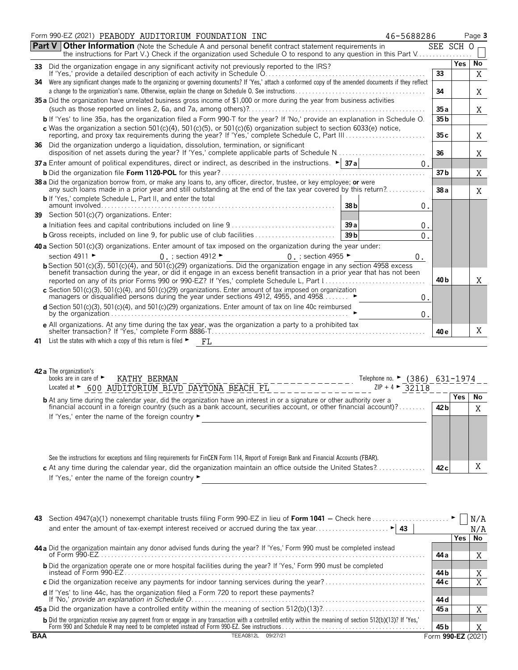|     | Form 990-EZ (2021) PEABODY AUDITORIUM FOUNDATION INC<br>46-5688286                                                                                                                                   |                 |     | Page 3 |
|-----|------------------------------------------------------------------------------------------------------------------------------------------------------------------------------------------------------|-----------------|-----|--------|
|     | <b>Part V Other Information</b> (Note the Schedule A and personal benefit contract statement requirements in                                                                                         | SEE SCH O       |     |        |
|     | the instructions for Part V.) Check if the organization used Schedule O to respond to any question in this Part V                                                                                    |                 |     |        |
|     |                                                                                                                                                                                                      |                 | Yes | No     |
|     | Were any significant changes made to the organizing or governing documents? If 'Yes,' attach a conformed copy of the amended documents if they reflect                                               | 33              |     | X      |
| 34  |                                                                                                                                                                                                      | 34              |     | Χ      |
|     | 35 a Did the organization have unrelated business gross income of \$1,000 or more during the year from business activities                                                                           |                 |     |        |
|     |                                                                                                                                                                                                      | 35a             |     | Χ      |
|     | b If 'Yes' to line 35a, has the organization filed a Form 990-T for the year? If 'No,' provide an explanation in Schedule O.                                                                         | 35 <sub>b</sub> |     |        |
|     | c Was the organization a section $501(c)(4)$ , $501(c)(5)$ , or $501(c)(6)$ organization subject to section 6033(e) notice,                                                                          | 35c             |     | X      |
|     | 36 Did the organization undergo a liquidation, dissolution, termination, or significant<br>disposition of net assets during the year? If 'Yes,' complete applicable parts of Schedule N              | 36              |     | X      |
|     | 37 a Enter amount of political expenditures, direct or indirect, as described in the instructions. $\blacktriangleright$ 37 a                                                                        |                 |     |        |
|     |                                                                                                                                                                                                      | 37 b            |     | X      |
|     | 38 a Did the organization borrow from, or make any loans to, any officer, director, trustee, or key employee; or were                                                                                |                 |     |        |
|     | any such loans made in a prior year and still outstanding at the end of the tax year covered by this return?                                                                                         | 38a             |     | X      |
|     | <b>b</b> If 'Yes,' complete Schedule L, Part II, and enter the total<br>38 <sub>b</sub><br>$0$ .                                                                                                     |                 |     |        |
|     | 39 Section 501(c)(7) organizations. Enter:                                                                                                                                                           |                 |     |        |
|     | <b>a</b> Initiation fees and capital contributions included on line $9, \ldots, \ldots, \ldots, \ldots, \ldots, \ldots, \ldots$<br>$0$ .                                                             |                 |     |        |
|     | <b>b</b> Gross receipts, included on line 9, for public use of club facilities<br>39 <sub>b</sub><br>0.                                                                                              |                 |     |        |
|     | 40 a Section 501(c)(3) organizations. Enter amount of tax imposed on the organization during the year under:                                                                                         |                 |     |        |
|     | section 4911 ►<br>0. ; section 4912 $\blacktriangleright$<br>0 $\,$ ; section 4955 $\blacktriangleright$<br>0.                                                                                       |                 |     |        |
|     | b Section 501(c)(3), 501(c)(4), and 501(c)(29) organizations. Did the organization engage in any section 4958 excess                                                                                 |                 |     |        |
|     | benefit transaction during the year, or did it engage in an excess benefit transaction in a prior year that has not been                                                                             |                 |     |        |
|     |                                                                                                                                                                                                      | 40 <sub>b</sub> |     | X      |
|     | c Section 501(c)(3), 501(c)(4), and 501(c)(29) organizations. Enter amount of tax imposed on organization managers or disqualified persons during the year under sections 4912, 4955, and 4958<br>0. |                 |     |        |
|     | $d$ Section 501(c)(3), 501(c)(4), and 501(c)(29) organizations. Enter amount of tax on line 40c reimbursed                                                                                           |                 |     |        |
|     | 0.                                                                                                                                                                                                   |                 |     |        |
|     | e All organizations. At any time during the tax year, was the organization a party to a prohibited tax                                                                                               | 40 e            |     | X      |
| 41. | List the states with which a copy of this return is filed $\blacktriangleright$ $\blacktriangleright$ $FL$                                                                                           |                 |     |        |
|     |                                                                                                                                                                                                      |                 |     |        |
|     |                                                                                                                                                                                                      |                 |     |        |
|     | 42 a The organization's                                                                                                                                                                              |                 |     |        |
|     | books are in care of $\blacktriangleright$<br>KATHY BERMAN<br>Telephone no. ► (386) 631-1974                                                                                                         |                 |     |        |
|     | $\overline{1}$<br>$70.1 \times 21$                                                                                                                                                                   |                 |     |        |

| books are in care of $\blacktriangleright$<br>KATHY BERMAN                                                                             | (386)<br>Telephone no. $\blacktriangleright$ |                 | 631-1974 |     |
|----------------------------------------------------------------------------------------------------------------------------------------|----------------------------------------------|-----------------|----------|-----|
| 600 AUDITORIUM BLVD DAYTONA BEACH FL<br>Located at $\blacktriangleright$                                                               | $ZIP + 4$ > 32118                            |                 |          |     |
| <b>b</b> At any time during the calendar year, did the organization have an interest in or a signature or other authority over a       |                                              |                 | Yes      | No  |
| financial account in a foreign country (such as a bank account, securities account, or other financial account)?                       |                                              | 42 <sub>b</sub> |          | XZ. |
| If 'Yes,' enter the name of the foreign country $\blacktriangleright$                                                                  |                                              |                 |          |     |
|                                                                                                                                        |                                              |                 |          |     |
|                                                                                                                                        |                                              |                 |          |     |
| See the instructions for exceptions and filing requirements for FinCEN Form 114, Report of Foreign Bank and Financial Accounts (FBAR). |                                              |                 |          |     |
| At the first dealer the color does not alternated and selection are the computer of the light of Alexandre Alexandre                   |                                              | $\sim$          |          |     |

**c** At any time during the calendar year, did the organization maintain an office outside the United States?. . . . . . . . . . . . . . . **42 c** X If 'Yes,' enter the name of the foreign country  $\blacktriangleright$ 

| 43.        |                                                                                                                                                                                                                                     |                    |      |          |
|------------|-------------------------------------------------------------------------------------------------------------------------------------------------------------------------------------------------------------------------------------|--------------------|------|----------|
|            | and enter the amount of tax-exempt interest received or accrued during the tax year<br>$\blacktriangleright$ 43                                                                                                                     |                    |      | N/A      |
|            |                                                                                                                                                                                                                                     |                    | Yes. | No       |
|            | 44 a Did the organization maintain any donor advised funds during the year? If 'Yes,' Form 990 must be completed instead                                                                                                            |                    |      |          |
|            | of Form 990-EZ                                                                                                                                                                                                                      | 44 a               |      | A        |
|            | <b>b</b> Did the organization operate one or more hospital facilities during the year? If 'Yes,' Form 990 must be completed                                                                                                         |                    |      |          |
|            |                                                                                                                                                                                                                                     | 44 b               |      | A        |
|            |                                                                                                                                                                                                                                     | 44 c               |      | $\bm{v}$ |
|            | <b>d</b> If 'Yes' to line 44c, has the organization filed a Form 720 to report these payments?                                                                                                                                      |                    |      |          |
|            | If 'No,' provide an explanation in Schedule O.                                                                                                                                                                                      | 44 d               |      |          |
|            |                                                                                                                                                                                                                                     | 45 a               |      |          |
|            |                                                                                                                                                                                                                                     |                    |      |          |
|            | <b>b</b> Did the organization receive any payment from or engage in any transaction with a controlled entity within the meaning of section 512(b)(13)? If 'Yes,' Form 990 and Schedule R may need to be completed instead of Form 9 | 45 b               |      |          |
| <b>BAA</b> | 09/27/21<br>TEEA0812L                                                                                                                                                                                                               | Form 990-EZ (2021) |      |          |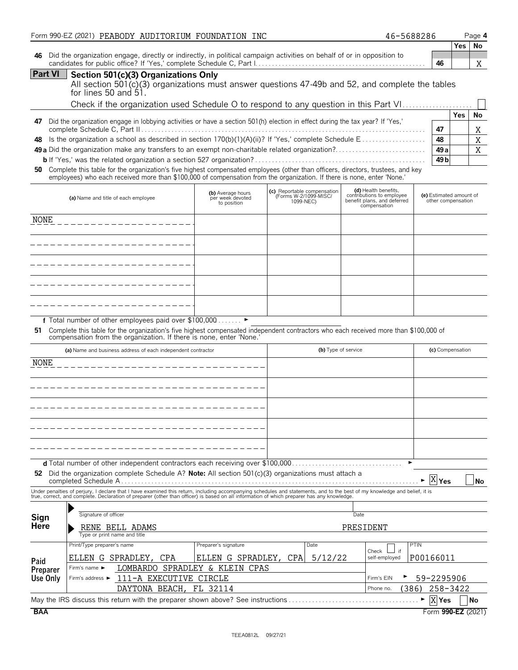|                             | Form 990-EZ (2021) PEABODY AUDITORIUM FOUNDATION INC                                                                                                                                                           |                                       |                                                      | 46-5688286                                               |                                               |            | Page 4    |
|-----------------------------|----------------------------------------------------------------------------------------------------------------------------------------------------------------------------------------------------------------|---------------------------------------|------------------------------------------------------|----------------------------------------------------------|-----------------------------------------------|------------|-----------|
|                             |                                                                                                                                                                                                                |                                       |                                                      |                                                          |                                               |            | Yes   No  |
| 46                          | Did the organization engage, directly or indirectly, in political campaign activities on behalf of or in opposition to                                                                                         |                                       |                                                      |                                                          | 46                                            |            |           |
| Part VI                     |                                                                                                                                                                                                                |                                       |                                                      |                                                          |                                               |            | Χ         |
|                             | Section 501(c)(3) Organizations Only<br>All section 501(c)(3) organizations must answer questions 47-49b and 52, and complete the tables                                                                       |                                       |                                                      |                                                          |                                               |            |           |
|                             | for lines 50 and $51.$                                                                                                                                                                                         |                                       |                                                      |                                                          |                                               |            |           |
|                             | Check if the organization used Schedule O to respond to any question in this Part VI                                                                                                                           |                                       |                                                      |                                                          |                                               |            |           |
|                             |                                                                                                                                                                                                                |                                       |                                                      |                                                          |                                               | <b>Yes</b> | No        |
| 47                          | Did the organization engage in lobbying activities or have a section 501(h) election in effect during the tax year? If 'Yes,'                                                                                  |                                       |                                                      |                                                          |                                               |            |           |
|                             |                                                                                                                                                                                                                |                                       |                                                      |                                                          | 47                                            |            | Χ         |
| 48                          | Is the organization a school as described in section 170(b)(1)(A)(ii)? If 'Yes,' complete Schedule E                                                                                                           |                                       |                                                      |                                                          | 48                                            |            | X         |
|                             | 49 a Did the organization make any transfers to an exempt non-charitable related organization?                                                                                                                 |                                       |                                                      |                                                          | 49 a                                          |            | X         |
|                             | Complete this table for the organization's five highest compensated employees (other than officers, directors, trustees, and key                                                                               |                                       |                                                      |                                                          | 49 <sub>b</sub>                               |            |           |
| 50                          | employees) who each received more than \$100,000 of compensation from the organization. If there is none, enter 'None.'                                                                                        |                                       |                                                      |                                                          |                                               |            |           |
|                             |                                                                                                                                                                                                                |                                       |                                                      | (d) Health benefits,                                     |                                               |            |           |
|                             | (a) Name and title of each employee                                                                                                                                                                            | (b) Average hours<br>per week devoted | (c) Reportable compensation<br>(Forms W-2/1099-MISC/ | contributions to employee<br>benefit plans, and deferred | (e) Estimated amount of<br>other compensation |            |           |
|                             |                                                                                                                                                                                                                | to position                           | 1099-NEC)                                            | compensation                                             |                                               |            |           |
| NONE                        |                                                                                                                                                                                                                |                                       |                                                      |                                                          |                                               |            |           |
|                             |                                                                                                                                                                                                                |                                       |                                                      |                                                          |                                               |            |           |
|                             |                                                                                                                                                                                                                |                                       |                                                      |                                                          |                                               |            |           |
|                             | ______________________                                                                                                                                                                                         |                                       |                                                      |                                                          |                                               |            |           |
|                             | -----------------------                                                                                                                                                                                        |                                       |                                                      |                                                          |                                               |            |           |
|                             |                                                                                                                                                                                                                |                                       |                                                      |                                                          |                                               |            |           |
|                             | ------------------                                                                                                                                                                                             |                                       |                                                      |                                                          |                                               |            |           |
|                             |                                                                                                                                                                                                                |                                       |                                                      |                                                          |                                               |            |           |
|                             | __________________                                                                                                                                                                                             |                                       |                                                      |                                                          |                                               |            |           |
|                             |                                                                                                                                                                                                                |                                       |                                                      |                                                          |                                               |            |           |
|                             | f Total number of other employees paid over \$100,000 ▶                                                                                                                                                        |                                       |                                                      |                                                          |                                               |            |           |
|                             | 51 Complete this table for the organization's five highest compensated independent contractors who each received more than \$100,000 of<br>compensation from the organization. If there is none, enter 'None.' |                                       |                                                      |                                                          |                                               |            |           |
|                             |                                                                                                                                                                                                                |                                       |                                                      |                                                          |                                               |            |           |
|                             | (a) Name and business address of each independent contractor                                                                                                                                                   |                                       | (b) Type of service                                  |                                                          | (c) Compensation                              |            |           |
| NONE                        |                                                                                                                                                                                                                |                                       |                                                      |                                                          |                                               |            |           |
|                             |                                                                                                                                                                                                                |                                       |                                                      |                                                          |                                               |            |           |
|                             |                                                                                                                                                                                                                |                                       |                                                      |                                                          |                                               |            |           |
|                             |                                                                                                                                                                                                                |                                       |                                                      |                                                          |                                               |            |           |
|                             |                                                                                                                                                                                                                |                                       |                                                      |                                                          |                                               |            |           |
|                             |                                                                                                                                                                                                                |                                       |                                                      |                                                          |                                               |            |           |
|                             |                                                                                                                                                                                                                |                                       |                                                      |                                                          |                                               |            |           |
|                             |                                                                                                                                                                                                                |                                       |                                                      |                                                          |                                               |            |           |
|                             |                                                                                                                                                                                                                |                                       |                                                      |                                                          |                                               |            |           |
|                             |                                                                                                                                                                                                                |                                       |                                                      |                                                          |                                               |            |           |
|                             | 52 Did the organization complete Schedule A? Note: All section $501(c)(3)$ organizations must attach a                                                                                                         |                                       |                                                      |                                                          |                                               |            |           |
|                             |                                                                                                                                                                                                                |                                       |                                                      |                                                          | $X _{\text{Yes}}$                             |            | <b>No</b> |
|                             | Under penalties of perjury, I declare that I have examined this return, including accompanying schedules and statements, and to the best of my knowledge and belief, it is                                     |                                       |                                                      |                                                          |                                               |            |           |
|                             | true, correct, and complete. Declaration of preparer (other than officer) is based on all information of which preparer has any knowledge.                                                                     |                                       |                                                      |                                                          |                                               |            |           |
|                             | Signature of officer                                                                                                                                                                                           |                                       |                                                      | Date                                                     |                                               |            |           |
| Sign<br><b>Here</b>         |                                                                                                                                                                                                                |                                       |                                                      |                                                          |                                               |            |           |
|                             | RENE BELL ADAMS<br>Type or print name and title                                                                                                                                                                |                                       |                                                      | PRESIDENT                                                |                                               |            |           |
|                             | Print/Type preparer's name                                                                                                                                                                                     | Preparer's signature                  | Date                                                 |                                                          | PTIN                                          |            |           |
|                             |                                                                                                                                                                                                                |                                       |                                                      | Check                                                    |                                               |            |           |
| Paid                        | CPA<br>ELLEN G SPRADLEY,<br>Firm's name ►                                                                                                                                                                      | ELLEN G SPRADLEY,                     | CPA<br>5/12/22                                       | self-employed                                            | P00166011                                     |            |           |
| <b>Preparer</b><br>Use Only | LOMBARDO<br>111-A EXECUTIVE<br>Firm's address $\blacktriangleright$                                                                                                                                            | SPRADLEY & KLEIN<br>CPAS<br>CIRCLE    |                                                      | Firm's EIN                                               | 59-2295906                                    |            |           |
|                             | DAYTONA BEACH, FL 32114                                                                                                                                                                                        |                                       |                                                      | (386)<br>Phone no.                                       | 258-3422                                      |            |           |
|                             |                                                                                                                                                                                                                |                                       |                                                      |                                                          |                                               |            |           |
|                             | May the IRS discuss this return with the preparer shown above? See instructions                                                                                                                                |                                       |                                                      |                                                          | $\overline{X}$ Yes                            |            | No        |
| <b>BAA</b>                  |                                                                                                                                                                                                                |                                       |                                                      |                                                          | Form 990-EZ (2021)                            |            |           |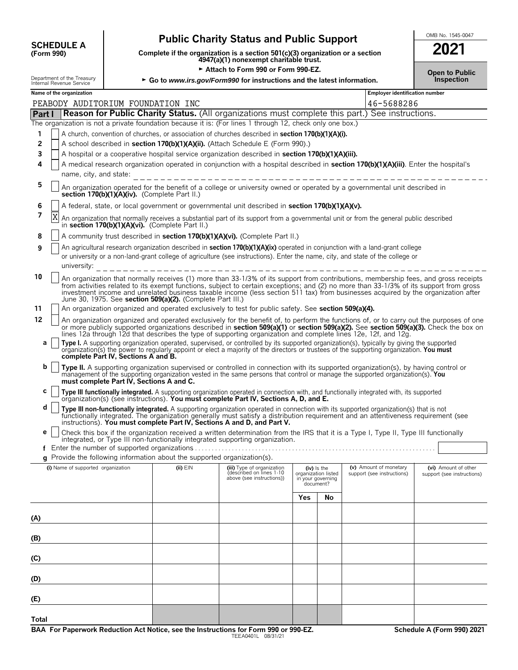| <b>SCHEDULE A</b> |  |
|-------------------|--|
| (Form 990)        |  |

## **Public Charity Status and Public Support SUPPORT**

**COMPOUT A**<br>
(Form 990) **Complete if the organization is a section 501(c)(3) organization or a section**<br>
4947(a)(1) nonexempt charitable trust.

Attach to Form 990 or Form 990-FZ.

| Π |  |
|---|--|
|   |  |
|   |  |

|                          | Department of the Treasury<br>Internal Revenue Service                                                                                                                                                                                                                                                                                                                                                                                                                                                                                                                                                                                                                                                                                                                                                                                                                                                                                                                                                                                                                                                                                                                                                                                                                          |                                          | 100 - 1110 1230 1341 1341 1342 1343 1344 1345 1346 1347 1348 1349 1349 1349 134<br><b>Open to Public</b><br><b>Inspection</b><br>► Go to www.irs.gov/Form990 for instructions and the latest information. |                                                                                                                                                                                                                                                                                                                                                                                                                                                                                                                                                                                                                                                                              |     |                                                                        |                                                      |                                                    |
|--------------------------|---------------------------------------------------------------------------------------------------------------------------------------------------------------------------------------------------------------------------------------------------------------------------------------------------------------------------------------------------------------------------------------------------------------------------------------------------------------------------------------------------------------------------------------------------------------------------------------------------------------------------------------------------------------------------------------------------------------------------------------------------------------------------------------------------------------------------------------------------------------------------------------------------------------------------------------------------------------------------------------------------------------------------------------------------------------------------------------------------------------------------------------------------------------------------------------------------------------------------------------------------------------------------------|------------------------------------------|-----------------------------------------------------------------------------------------------------------------------------------------------------------------------------------------------------------|------------------------------------------------------------------------------------------------------------------------------------------------------------------------------------------------------------------------------------------------------------------------------------------------------------------------------------------------------------------------------------------------------------------------------------------------------------------------------------------------------------------------------------------------------------------------------------------------------------------------------------------------------------------------------|-----|------------------------------------------------------------------------|------------------------------------------------------|----------------------------------------------------|
| Name of the organization |                                                                                                                                                                                                                                                                                                                                                                                                                                                                                                                                                                                                                                                                                                                                                                                                                                                                                                                                                                                                                                                                                                                                                                                                                                                                                 |                                          |                                                                                                                                                                                                           |                                                                                                                                                                                                                                                                                                                                                                                                                                                                                                                                                                                                                                                                              |     |                                                                        | <b>Employer identification number</b>                |                                                    |
|                          |                                                                                                                                                                                                                                                                                                                                                                                                                                                                                                                                                                                                                                                                                                                                                                                                                                                                                                                                                                                                                                                                                                                                                                                                                                                                                 |                                          | PEABODY AUDITORIUM FOUNDATION INC                                                                                                                                                                         |                                                                                                                                                                                                                                                                                                                                                                                                                                                                                                                                                                                                                                                                              |     |                                                                        | 46-5688286                                           |                                                    |
| Part I                   |                                                                                                                                                                                                                                                                                                                                                                                                                                                                                                                                                                                                                                                                                                                                                                                                                                                                                                                                                                                                                                                                                                                                                                                                                                                                                 |                                          |                                                                                                                                                                                                           | <b>Reason for Public Charity Status.</b> (All organizations must complete this part.) See instructions.                                                                                                                                                                                                                                                                                                                                                                                                                                                                                                                                                                      |     |                                                                        |                                                      |                                                    |
| 1<br>2<br>3<br>4<br>5    | name, city, and state:                                                                                                                                                                                                                                                                                                                                                                                                                                                                                                                                                                                                                                                                                                                                                                                                                                                                                                                                                                                                                                                                                                                                                                                                                                                          |                                          |                                                                                                                                                                                                           | The organization is not a private foundation because it is: (For lines 1 through 12, check only one box.)<br>A church, convention of churches, or association of churches described in section 170(b)(1)(A)(i).<br>A school described in section 170(b)(1)(A)(ii). (Attach Schedule E (Form 990).)<br>A hospital or a cooperative hospital service organization described in section 170(b)(1)(A)(iii).<br>A medical research organization operated in conjunction with a hospital described in section 170(b)(1)(A)(iii). Enter the hospital's<br>An organization operated for the benefit of a college or university owned or operated by a governmental unit described in |     |                                                                        |                                                      |                                                    |
| 6                        |                                                                                                                                                                                                                                                                                                                                                                                                                                                                                                                                                                                                                                                                                                                                                                                                                                                                                                                                                                                                                                                                                                                                                                                                                                                                                 |                                          | section 170(b)(1)(A)(iv). (Complete Part II.)                                                                                                                                                             | A federal, state, or local government or governmental unit described in section 170(b)(1)(A)(v).                                                                                                                                                                                                                                                                                                                                                                                                                                                                                                                                                                             |     |                                                                        |                                                      |                                                    |
| 7<br>Χ                   |                                                                                                                                                                                                                                                                                                                                                                                                                                                                                                                                                                                                                                                                                                                                                                                                                                                                                                                                                                                                                                                                                                                                                                                                                                                                                 |                                          | in section 170(b)(1)(A)(vi). (Complete Part II.)                                                                                                                                                          | An organization that normally receives a substantial part of its support from a governmental unit or from the general public described                                                                                                                                                                                                                                                                                                                                                                                                                                                                                                                                       |     |                                                                        |                                                      |                                                    |
| 8                        |                                                                                                                                                                                                                                                                                                                                                                                                                                                                                                                                                                                                                                                                                                                                                                                                                                                                                                                                                                                                                                                                                                                                                                                                                                                                                 |                                          |                                                                                                                                                                                                           | A community trust described in section 170(b)(1)(A)(vi). (Complete Part II.)                                                                                                                                                                                                                                                                                                                                                                                                                                                                                                                                                                                                 |     |                                                                        |                                                      |                                                    |
| 9                        | university:                                                                                                                                                                                                                                                                                                                                                                                                                                                                                                                                                                                                                                                                                                                                                                                                                                                                                                                                                                                                                                                                                                                                                                                                                                                                     |                                          |                                                                                                                                                                                                           | An agricultural research organization described in section 170(b)(1)(A)(ix) operated in conjunction with a land-grant college<br>or university or a non-land-grant college of agriculture (see instructions). Enter the name, city, and state of the college or                                                                                                                                                                                                                                                                                                                                                                                                              |     |                                                                        |                                                      |                                                    |
| 10<br>11<br>12<br>а      | An organization that normally receives (1) more than 33-1/3% of its support from contributions, membership fees, and gross receipts from activities related to its exempt functions, subject to certain exceptions; and (2) no<br>investment income and unrelated business taxable income (less section 511 tax) from businesses acquired by the organization after<br>June 30, 1975. See section 509(a)(2). (Complete Part III.)<br>An organization organized and operated exclusively to test for public safety. See section 509(a)(4).<br>An organization organized and operated exclusively for the benefit of, to perform the functions of, or to carry out the purposes of one<br>or more publicly supported organizations described in section 509(a)(1) or section 509(a)(2). See section 509(a)(3). Check the box on<br>lines 12a through 12d that describes the type of supporting organization and complete lines 12e, 12f, and 12g.<br>Type I. A supporting organization operated, supervised, or controlled by its supported organization(s), typically by giving the supported<br>organization(s) the power to regularly appoint or elect a majority of the directors or trustees of the supporting organization. You must<br>complete Part IV, Sections A and B. |                                          |                                                                                                                                                                                                           |                                                                                                                                                                                                                                                                                                                                                                                                                                                                                                                                                                                                                                                                              |     |                                                                        |                                                      |                                                    |
| b                        |                                                                                                                                                                                                                                                                                                                                                                                                                                                                                                                                                                                                                                                                                                                                                                                                                                                                                                                                                                                                                                                                                                                                                                                                                                                                                 | must complete Part IV, Sections A and C. |                                                                                                                                                                                                           | Type II. A supporting organization supervised or controlled in connection with its supported organization(s), by having control or<br>management of the supporting organization vested in the same persons that control or manage the supported organization(s). You                                                                                                                                                                                                                                                                                                                                                                                                         |     |                                                                        |                                                      |                                                    |
| с                        |                                                                                                                                                                                                                                                                                                                                                                                                                                                                                                                                                                                                                                                                                                                                                                                                                                                                                                                                                                                                                                                                                                                                                                                                                                                                                 |                                          |                                                                                                                                                                                                           | Type III functionally integrated. A supporting organization operated in connection with, and functionally integrated with, its supported                                                                                                                                                                                                                                                                                                                                                                                                                                                                                                                                     |     |                                                                        |                                                      |                                                    |
| d<br>е                   |                                                                                                                                                                                                                                                                                                                                                                                                                                                                                                                                                                                                                                                                                                                                                                                                                                                                                                                                                                                                                                                                                                                                                                                                                                                                                 |                                          | g Provide the following information about the supported organization(s).                                                                                                                                  | organization(s) (see instructions). You must complete Part IV, Sections A, D, and E.<br>Type III non-functionally integrated. A supporting organization operated in connection with its supported organization(s) that is not<br>functionally integrated. The organization generally must satisfy a distribution requirement and an attentiveness requirement (see<br>instructions). You must complete Part IV, Sections A and D, and Part V.<br>Check this box if the organization received a written determination from the IRS that it is a Type I, Type II, Type III functionally<br>integrated, or Type III non-functionally integrated supporting organization.        |     |                                                                        |                                                      |                                                    |
|                          | (i) Name of supported organization                                                                                                                                                                                                                                                                                                                                                                                                                                                                                                                                                                                                                                                                                                                                                                                                                                                                                                                                                                                                                                                                                                                                                                                                                                              |                                          | $(ii)$ $EIN$                                                                                                                                                                                              | (iii) Type of organization<br>described on lines 1-10<br>above (see instructions))                                                                                                                                                                                                                                                                                                                                                                                                                                                                                                                                                                                           |     | $(iv)$ is the<br>organization listed<br>in your governing<br>document? | (v) Amount of monetary<br>support (see instructions) | (vi) Amount of other<br>support (see instructions) |
|                          |                                                                                                                                                                                                                                                                                                                                                                                                                                                                                                                                                                                                                                                                                                                                                                                                                                                                                                                                                                                                                                                                                                                                                                                                                                                                                 |                                          |                                                                                                                                                                                                           |                                                                                                                                                                                                                                                                                                                                                                                                                                                                                                                                                                                                                                                                              | Yes | No                                                                     |                                                      |                                                    |
| (A)                      |                                                                                                                                                                                                                                                                                                                                                                                                                                                                                                                                                                                                                                                                                                                                                                                                                                                                                                                                                                                                                                                                                                                                                                                                                                                                                 |                                          |                                                                                                                                                                                                           |                                                                                                                                                                                                                                                                                                                                                                                                                                                                                                                                                                                                                                                                              |     |                                                                        |                                                      |                                                    |
| (B)                      |                                                                                                                                                                                                                                                                                                                                                                                                                                                                                                                                                                                                                                                                                                                                                                                                                                                                                                                                                                                                                                                                                                                                                                                                                                                                                 |                                          |                                                                                                                                                                                                           |                                                                                                                                                                                                                                                                                                                                                                                                                                                                                                                                                                                                                                                                              |     |                                                                        |                                                      |                                                    |
| (C)                      |                                                                                                                                                                                                                                                                                                                                                                                                                                                                                                                                                                                                                                                                                                                                                                                                                                                                                                                                                                                                                                                                                                                                                                                                                                                                                 |                                          |                                                                                                                                                                                                           |                                                                                                                                                                                                                                                                                                                                                                                                                                                                                                                                                                                                                                                                              |     |                                                                        |                                                      |                                                    |
| (D)                      |                                                                                                                                                                                                                                                                                                                                                                                                                                                                                                                                                                                                                                                                                                                                                                                                                                                                                                                                                                                                                                                                                                                                                                                                                                                                                 |                                          |                                                                                                                                                                                                           |                                                                                                                                                                                                                                                                                                                                                                                                                                                                                                                                                                                                                                                                              |     |                                                                        |                                                      |                                                    |
| (E)                      |                                                                                                                                                                                                                                                                                                                                                                                                                                                                                                                                                                                                                                                                                                                                                                                                                                                                                                                                                                                                                                                                                                                                                                                                                                                                                 |                                          |                                                                                                                                                                                                           |                                                                                                                                                                                                                                                                                                                                                                                                                                                                                                                                                                                                                                                                              |     |                                                                        |                                                      |                                                    |
| <b>Total</b>             |                                                                                                                                                                                                                                                                                                                                                                                                                                                                                                                                                                                                                                                                                                                                                                                                                                                                                                                                                                                                                                                                                                                                                                                                                                                                                 |                                          |                                                                                                                                                                                                           |                                                                                                                                                                                                                                                                                                                                                                                                                                                                                                                                                                                                                                                                              |     |                                                                        |                                                      |                                                    |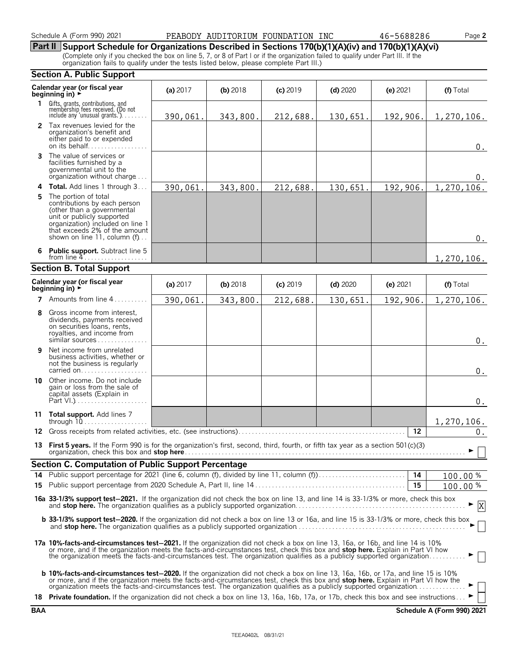Schedule A (Form 990) 2021 **PEABODY AUDITORIUM FOUNDATION INC**  $46-5688286$  Page **2** 

**Part II Support Schedule for Organizations Described in Sections 170(b)(1)(A)(iv) and 170(b)(1)(A)(vi)**

(Complete only if you checked the box on line 5, 7, or 8 of Part I or if the organization failed to qualify under Part III. If the organization fails to qualify under the tests listed below, please complete Part III.)

|     | <b>Section A. Public Support</b>                                                                                                                                                                                                                                                                                                                                                                                                                                                                                                               |          |            |            |            |                 |            |  |  |  |
|-----|------------------------------------------------------------------------------------------------------------------------------------------------------------------------------------------------------------------------------------------------------------------------------------------------------------------------------------------------------------------------------------------------------------------------------------------------------------------------------------------------------------------------------------------------|----------|------------|------------|------------|-----------------|------------|--|--|--|
|     | Calendar year (or fiscal year<br>beginning in) $\rightarrow$                                                                                                                                                                                                                                                                                                                                                                                                                                                                                   | (a) 2017 | $(b)$ 2018 | $(c)$ 2019 | $(d)$ 2020 | $(e)$ 2021      | (f) Total  |  |  |  |
| 1.  | Gifts, grants, contributions, and<br>membership fees received. (Do not<br>include any 'unusual grants.'). $\dots$                                                                                                                                                                                                                                                                                                                                                                                                                              | 390,061. | 343,800.   | 212,688.   | 130,651.   | 192,906.        | 1,270,106. |  |  |  |
|     | 2 Tax revenues levied for the<br>organization's benefit and<br>either paid to or expended<br>on its behalf                                                                                                                                                                                                                                                                                                                                                                                                                                     |          |            |            |            |                 | $0$ .      |  |  |  |
| 3   | The value of services or<br>facilities furnished by a<br>governmental unit to the<br>organization without charge                                                                                                                                                                                                                                                                                                                                                                                                                               |          |            |            |            |                 | 0.         |  |  |  |
| 4   | <b>Total.</b> Add lines 1 through 3                                                                                                                                                                                                                                                                                                                                                                                                                                                                                                            | 390,061. | 343,800.   | 212,688.   | 130,651.   | 192,906.        | 1,270,106. |  |  |  |
| 5.  | The portion of total<br>contributions by each person<br>(other than a governmental<br>unit or publicly supported<br>organization) included on line 1<br>that exceeds 2% of the amount<br>shown on line 11, column (f)                                                                                                                                                                                                                                                                                                                          |          |            |            |            |                 | $0$ .      |  |  |  |
| 6   | <b>Public support.</b> Subtract line 5<br>from line 4                                                                                                                                                                                                                                                                                                                                                                                                                                                                                          |          |            |            |            |                 | 1,270,106. |  |  |  |
|     | <b>Section B. Total Support</b>                                                                                                                                                                                                                                                                                                                                                                                                                                                                                                                |          |            |            |            |                 |            |  |  |  |
|     | Calendar year (or fiscal year<br>beginning in) $\rightarrow$                                                                                                                                                                                                                                                                                                                                                                                                                                                                                   | (a) 2017 | $(b)$ 2018 | $(c)$ 2019 | $(d)$ 2020 | (e) 2021        | (f) Total  |  |  |  |
|     | 7 Amounts from line 4<br>a a a a a a a                                                                                                                                                                                                                                                                                                                                                                                                                                                                                                         | 390,061. | 343,800.   | 212,688.   | 130,651.   | 192,906.        | 1,270,106. |  |  |  |
| 8   | Gross income from interest,<br>dividends, payments received<br>on securities loans, rents,<br>royalties, and income from<br>similar sources                                                                                                                                                                                                                                                                                                                                                                                                    |          |            |            |            |                 | $0$ .      |  |  |  |
| 9   | Net income from unrelated<br>business activities, whether or<br>not the business is regularly<br>carried on                                                                                                                                                                                                                                                                                                                                                                                                                                    |          |            |            |            |                 | 0.         |  |  |  |
| 10  | Other income. Do not include<br>gain or loss from the sale of<br>capital assets (Explain in                                                                                                                                                                                                                                                                                                                                                                                                                                                    |          |            |            |            |                 | $0$ .      |  |  |  |
| 11  | Total support. Add lines 7<br>through $10$                                                                                                                                                                                                                                                                                                                                                                                                                                                                                                     |          |            |            |            |                 | 1,270,106. |  |  |  |
| 12. |                                                                                                                                                                                                                                                                                                                                                                                                                                                                                                                                                |          |            |            |            | 12              | 0.         |  |  |  |
|     | 13 First 5 years. If the Form 990 is for the organization's first, second, third, fourth, or fifth tax year as a section 501(c)(3)<br>organization, check this box and stop here <b>Conservers and Stop here</b> and the conserverse conservers and stop here conservers and stop here are a stop here are a stop here are a stop here are a stop here are a stop here ar                                                                                                                                                                      |          |            |            |            |                 | - П        |  |  |  |
|     | Section C. Computation of Public Support Percentage                                                                                                                                                                                                                                                                                                                                                                                                                                                                                            |          |            |            |            |                 |            |  |  |  |
| 14  | Public support percentage for 2021 (line 6, column (f), divided by line 11, column (f)                                                                                                                                                                                                                                                                                                                                                                                                                                                         |          |            |            |            | $\overline{14}$ | 100.00%    |  |  |  |
|     |                                                                                                                                                                                                                                                                                                                                                                                                                                                                                                                                                |          |            |            |            | 15              | 100.00%    |  |  |  |
|     | 16a 33-1/3% support test-2021. If the organization did not check the box on line 13, and line 14 is 33-1/3% or more, check this box<br>X                                                                                                                                                                                                                                                                                                                                                                                                       |          |            |            |            |                 |            |  |  |  |
|     | <b>b</b> 33-1/3% support test-2020. If the organization did not check a box on line 13 or 16a, and line 15 is 33-1/3% or more, check this box                                                                                                                                                                                                                                                                                                                                                                                                  |          |            |            |            |                 |            |  |  |  |
|     | 17a 10%-facts-and-circumstances test-2021. If the organization did not check a box on line 13, 16a, or 16b, and line 14 is 10%<br>or more, and if the organization meets the facts-and-circumstances test, check this box and stop here. Explain in Part VI how<br>the organization meets the facts-and-circumstances test. The organization qualifies as a publicly supported organization                                                                                                                                                    |          |            |            |            |                 |            |  |  |  |
|     | <b>b 10%-facts-and-circumstances test-2020.</b> If the organization did not check a box on line 13, 16a, 16b, or 17a, and line 15 is 10%<br>or more, and if the organization meets the facts-and-circumstances test, check this box and stop here. Explain in Part VI how the<br>organization meets the facts-and-circumstances test. The organization qualifies as a publicly supported organization<br>18 Private foundation. If the organization did not check a box on line 13, 16a, 16b, 17a, or 17b, check this box and see instructions |          |            |            |            |                 |            |  |  |  |

**BAA Schedule A (Form 990) 2021**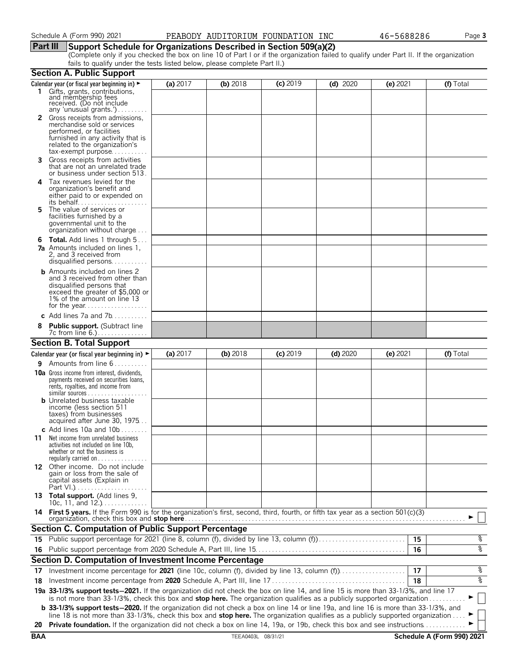#### **Part III Support Schedule for Organizations Described in Section 509(a)(2)**

(Complete only if you checked the box on line 10 of Part I or if the organization failed to qualify under Part II. If the organization fails to qualify under the tests listed below, please complete Part II.)

|            | <b>Section A. Public Support</b>                                                                                                                                                                                                                                              |          |                    |            |            |            |                            |
|------------|-------------------------------------------------------------------------------------------------------------------------------------------------------------------------------------------------------------------------------------------------------------------------------|----------|--------------------|------------|------------|------------|----------------------------|
|            | Calendar year (or fiscal year beginning in) $\blacktriangleright$                                                                                                                                                                                                             | (a) 2017 | (b) 2018           | $(c)$ 2019 | $(d)$ 2020 | (e) 2021   | (f) Total                  |
|            | 1 Gifts, grants, contributions,<br>and membership fees<br>received. (Do not include<br>any 'unusual grants.')                                                                                                                                                                 |          |                    |            |            |            |                            |
|            | 2 Gross receipts from admissions,<br>merchandise sold or services<br>performed, or facilities<br>furnished in any activity that is<br>related to the organization's<br>$tax\text{-}exempt$ purpose                                                                            |          |                    |            |            |            |                            |
| 3.         | Gross receipts from activities<br>that are not an unrelated trade<br>or business under section 513.                                                                                                                                                                           |          |                    |            |            |            |                            |
| 4          | Tax revenues levied for the<br>organization's benefit and<br>either paid to or expended on                                                                                                                                                                                    |          |                    |            |            |            |                            |
| 5.         | The value of services or<br>facilities furnished by a<br>governmental unit to the<br>organization without charge                                                                                                                                                              |          |                    |            |            |            |                            |
| 6          | <b>Total.</b> Add lines 1 through 5<br><b>7a</b> Amounts included on lines 1,<br>2, and 3 received from<br>disqualified persons                                                                                                                                               |          |                    |            |            |            |                            |
|            | <b>b</b> Amounts included on lines 2<br>and 3 received from other than<br>disqualified persons that<br>exceed the greater of \$5,000 or<br>1% of the amount on line 13                                                                                                        |          |                    |            |            |            |                            |
|            | c Add lines $7a$ and $7b$                                                                                                                                                                                                                                                     |          |                    |            |            |            |                            |
|            | <b>Public support.</b> (Subtract line                                                                                                                                                                                                                                         |          |                    |            |            |            |                            |
|            | <b>Section B. Total Support</b>                                                                                                                                                                                                                                               |          |                    |            |            |            |                            |
|            | Calendar year (or fiscal year beginning in) $\blacktriangleright$                                                                                                                                                                                                             | (a) 2017 | (b) 2018           | $(c)$ 2019 | $(d)$ 2020 | $(e)$ 2021 | (f) Total                  |
| 9.         | Amounts from line 6                                                                                                                                                                                                                                                           |          |                    |            |            |            |                            |
|            | <b>10a</b> Gross income from interest, dividends,<br>payments received on securities loans,<br>rents, royalties, and income from<br><b>b</b> Unrelated business taxable<br>income (less section 511<br>taxes) from businesses                                                 |          |                    |            |            |            |                            |
|            | acquired after June 30, 1975                                                                                                                                                                                                                                                  |          |                    |            |            |            |                            |
| 11         | c Add lines 10a and $10b$<br>Net income from unrelated business<br>activities not included on line 10b,<br>whether or not the business is<br>regularly carried on $\dots\dots\dots\dots$                                                                                      |          |                    |            |            |            |                            |
|            | 12 Other income. Do not include<br>gain or loss from the sale of<br>capital assets (Explain in                                                                                                                                                                                |          |                    |            |            |            |                            |
|            | 13 Total support. (Add lines 9,<br>10c, 11, and $12$                                                                                                                                                                                                                          |          |                    |            |            |            |                            |
|            | 14 First 5 years. If the Form 990 is for the organization's first, second, third, fourth, or fifth tax year as a section 501(c)(3)<br>organization, check this box and stop here                                                                                              |          |                    |            |            |            |                            |
|            | <b>Section C. Computation of Public Support Percentage</b>                                                                                                                                                                                                                    |          |                    |            |            |            |                            |
|            | 15 Public support percentage for 2021 (line 8, column (f), divided by line 13, column (f)                                                                                                                                                                                     |          |                    |            |            | 15         | န့                         |
|            |                                                                                                                                                                                                                                                                               |          |                    |            |            | 16         | ०१०                        |
|            | Section D. Computation of Investment Income Percentage                                                                                                                                                                                                                        |          |                    |            |            |            |                            |
| 17         |                                                                                                                                                                                                                                                                               |          |                    |            |            | 17         | %                          |
| 18         |                                                                                                                                                                                                                                                                               |          |                    |            |            | 18         | ०७                         |
|            | 19a 33-1/3% support tests-2021. If the organization did not check the box on line 14, and line 15 is more than 33-1/3%, and line 17<br>is not more than 33-1/3%, check this box and stop here. The organization qualifies as a publicly supported organization                |          |                    |            |            |            |                            |
|            | <b>b</b> 33-1/3% support tests-2020. If the organization did not check a box on line 14 or line 19a, and line 16 is more than 33-1/3%, and<br>line 18 is not more than 33-1/3%, check this box and stop here. The organization qualifies as a publicly supported organization |          |                    |            |            |            |                            |
| 20         | Private foundation. If the organization did not check a box on line 14, 19a, or 19b, check this box and see instructions.                                                                                                                                                     |          |                    |            |            |            |                            |
| <b>BAA</b> |                                                                                                                                                                                                                                                                               |          | TEEA0403L 08/31/21 |            |            |            | Schedule A (Form 990) 2021 |
|            |                                                                                                                                                                                                                                                                               |          |                    |            |            |            |                            |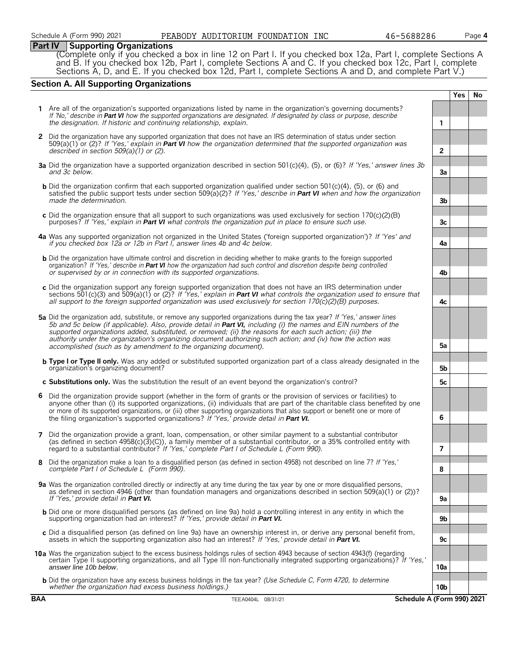#### **Part IV Supporting Organizations**

(Complete only if you checked a box in line 12 on Part I. If you checked box 12a, Part I, complete Sections A and B. If you checked box 12b, Part I, complete Sections A and C. If you checked box 12c, Part I, complete Sections A, D, and E. If you checked box 12d, Part I, complete Sections A and D, and complete Part V.)

#### **Section A. All Supporting Organizations**

|            |                                                                                                                                                                                                                                                                                                                                                                                                                                                                                                                                              |                | <b>Yes</b> | No |
|------------|----------------------------------------------------------------------------------------------------------------------------------------------------------------------------------------------------------------------------------------------------------------------------------------------------------------------------------------------------------------------------------------------------------------------------------------------------------------------------------------------------------------------------------------------|----------------|------------|----|
|            | Are all of the organization's supported organizations listed by name in the organization's governing documents?<br>If 'No,' describe in Part VI how the supported organizations are designated. If designated by class or purpose, describe<br>the designation. If historic and continuing relationship, explain.                                                                                                                                                                                                                            | $\mathbf{1}$   |            |    |
|            | 2 Did the organization have any supported organization that does not have an IRS determination of status under section<br>$509(a)(1)$ or (2)? If 'Yes,' explain in <b>Part VI</b> how the organization determined that the supported organization was<br>described in section $509(a)(1)$ or (2).                                                                                                                                                                                                                                            | $\overline{2}$ |            |    |
|            | 3a Did the organization have a supported organization described in section 501(c)(4), (5), or (6)? If 'Yes,' answer lines 3b<br>and 3c below.                                                                                                                                                                                                                                                                                                                                                                                                | 3a             |            |    |
|            | b Did the organization confirm that each supported organization qualified under section 501(c)(4), (5), or (6) and<br>satisfied the public support tests under section 509(a)(2)? If 'Yes,' describe in Part VI when and how the organization<br>made the determination.                                                                                                                                                                                                                                                                     | 3b             |            |    |
|            | c Did the organization ensure that all support to such organizations was used exclusively for section $170(c)(2)(B)$<br>purposes? If 'Yes,' explain in <b>Part VI</b> what controls the organization put in place to ensure such use.                                                                                                                                                                                                                                                                                                        | 3c             |            |    |
|            | 4a Was any supported organization not organized in the United States ('foreign supported organization')? If 'Yes' and<br>if you checked box 12a or 12b in Part I, answer lines 4b and 4c below.                                                                                                                                                                                                                                                                                                                                              | 4a             |            |    |
|            | <b>b</b> Did the organization have ultimate control and discretion in deciding whether to make grants to the foreign supported<br>organization? If 'Yes,' describe in Part VI how the organization had such control and discretion despite being controlled<br>or supervised by or in connection with its supported organizations.                                                                                                                                                                                                           | 4b             |            |    |
|            | c Did the organization support any foreign supported organization that does not have an IRS determination under<br>sections 501(c)(3) and 509(a)(1) or (2)? If 'Yes,' explain in <b>Part VI</b> what controls the organization used to ensure that<br>all support to the foreign supported organization was used exclusively for section $170(c)(2)(B)$ purposes.                                                                                                                                                                            | 4c             |            |    |
|            | 5a Did the organization add, substitute, or remove any supported organizations during the tax year? If 'Yes,' answer lines<br>5b and 5c below (if applicable). Also, provide detail in Part VI, including (i) the names and EIN numbers of the<br>supported organizations added, substituted, or removed; (ii) the reasons for each such action; (iii) the<br>authority under the organization's organizing document authorizing such action; and (iv) how the action was<br>accomplished (such as by amendment to the organizing document). | 5а             |            |    |
|            | <b>b Type I or Type II only.</b> Was any added or substituted supported organization part of a class already designated in the<br>organization's organizing document?                                                                                                                                                                                                                                                                                                                                                                        | 5b             |            |    |
|            | c Substitutions only. Was the substitution the result of an event beyond the organization's control?                                                                                                                                                                                                                                                                                                                                                                                                                                         | 5c             |            |    |
| 6          | Did the organization provide support (whether in the form of grants or the provision of services or facilities) to<br>anyone other than (i) its supported organizations, (ii) individuals that are part of the charitable class benefited by one<br>or more of its supported organizations, or (iii) other supporting organizations that also support or benefit one or more of<br>the filing organization's supported organizations? If 'Yes,' provide detail in Part VI.                                                                   | 6              |            |    |
| 7          | Did the organization provide a grant, loan, compensation, or other similar payment to a substantial contributor<br>(as defined in section $4958(c)(3)(C)$ ), a family member of a substantial contributor, or a 35% controlled entity with<br>regard to a substantial contributor? If 'Yes,' complete Part I of Schedule L (Form 990).                                                                                                                                                                                                       | $\overline{7}$ |            |    |
| 8          | Did the organization make a loan to a disqualified person (as defined in section 4958) not described on line 7? If 'Yes,'<br>complete Part I of Schedule L (Form 990).                                                                                                                                                                                                                                                                                                                                                                       | 8              |            |    |
|            | 9a Was the organization controlled directly or indirectly at any time during the tax year by one or more disqualified persons,<br>as defined in section 4946 (other than foundation managers and organizations described in section 509(a)(1) or (2))?<br>If 'Yes,' provide detail in Part VI.                                                                                                                                                                                                                                               | 9а             |            |    |
|            | <b>b</b> Did one or more disqualified persons (as defined on line 9a) hold a controlling interest in any entity in which the<br>supporting organization had an interest? If 'Yes,' provide detail in Part VI.                                                                                                                                                                                                                                                                                                                                | 9b             |            |    |
|            | c Did a disqualified person (as defined on line 9a) have an ownership interest in, or derive any personal benefit from,<br>assets in which the supporting organization also had an interest? If 'Yes,' provide detail in <b>Part VI.</b>                                                                                                                                                                                                                                                                                                     | 9c             |            |    |
|            | 10a Was the organization subject to the excess business holdings rules of section 4943 because of section 4943(f) (regarding<br>certain Type II supporting organizations, and all Type III non-functionally integrated supporting organizations)? If 'Yes,'<br>answer line 10b below.                                                                                                                                                                                                                                                        | 10a            |            |    |
|            | <b>b</b> Did the organization have any excess business holdings in the tax year? (Use Schedule C, Form 4720, to determine<br>whether the organization had excess business holdings.)                                                                                                                                                                                                                                                                                                                                                         | 10b            |            |    |
| <b>BAA</b> | Schedule A (Form 990) 2021<br>TEEA0404L 08/31/21                                                                                                                                                                                                                                                                                                                                                                                                                                                                                             |                |            |    |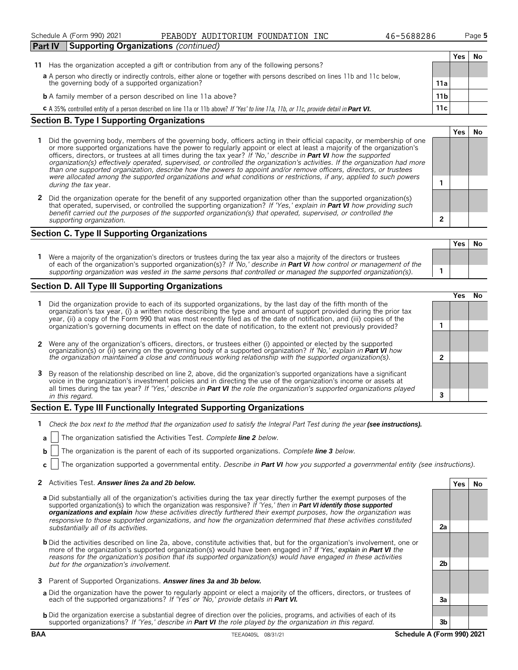| <b>Part IV</b><br><b>Supporting Organizations</b> (continued)                                                                           |                 |     |    |
|-----------------------------------------------------------------------------------------------------------------------------------------|-----------------|-----|----|
|                                                                                                                                         |                 | Yes | No |
| Has the organization accepted a gift or contribution from any of the following persons?<br>11                                           |                 |     |    |
| a A person who directly or indirectly controls, either alone or together with persons described on lines 11b and 11c below,             |                 |     |    |
| the governing body of a supported organization?                                                                                         | 11a             |     |    |
| <b>b</b> A family member of a person described on line 11a above?                                                                       | 11 <sub>b</sub> |     |    |
| C A 35% controlled entity of a person described on line 11a or 11b above? If 'Yes' to line 11a, 11b, or 11c, provide detail in Part VI. | 11c             |     |    |

Schedule A (Form 990) 2021 **PEABODY AUDITORIUM FOUNDATION INC**  $46-5688286$  Page **5** 

#### **Section B. Type I Supporting Organizations**

- **1** Did the governing body, members of the governing body, officers acting in their official capacity, or membership of one or more supported organizations have the power to regularly appoint or elect at least a majority of the organization's officers, directors, or trustees at all times during the tax year? *If 'No,' describe in Part VI how the supported organization(s) effectively operated, supervised, or controlled the organization's activities. If the organization had more than one supported organization, describe how the powers to appoint and/or remove officers, directors, or trustees were allocated among the supported organizations and what conditions or restrictions, if any, applied to such powers* **1** *during the tax* year.
- **2** Did the organization operate for the benefit of any supported organization other than the supported organization(s) that operated, supervised, or controlled the supporting organization? *If 'Yes,' explain in Part VI how providing such benefit carried out the purposes of the supported organization(s) that operated, supervised, or controlled the supporting organization.* **2**

#### **Section C. Type II Supporting Organizations**

**Yes No 1** Were a majority of the organization's directors or trustees during the tax year also a majority of the directors or trustees of each of the organization's supported organization(s)? *If 'No,' describe in Part VI how control or management of the supporting organization was vested in the same persons that controlled or managed the supported organization(s).* **1**

#### **Section D. All Type III Supporting Organizations**

|                                                                                                                                                                                                                                                                                                                                                                                       |  | ∕es |  |  |  |
|---------------------------------------------------------------------------------------------------------------------------------------------------------------------------------------------------------------------------------------------------------------------------------------------------------------------------------------------------------------------------------------|--|-----|--|--|--|
| Did the organization provide to each of its supported organizations, by the last day of the fifth month of the<br>organization's tax year, (i) a written notice describing the type and amount of support provided during the prior tax<br>year, (ii) a copy of the Form 990 that was most recently filed as of the date of notification, and (iii) copies of the                     |  |     |  |  |  |
| organization's governing documents in effect on the date of notification, to the extent not previously provided?                                                                                                                                                                                                                                                                      |  |     |  |  |  |
| 2 Were any of the organization's officers, directors, or trustees either (i) appointed or elected by the supported organization(s) or (ii) serving on the governing body of a supported organization? If 'No,' explain in Part                                                                                                                                                        |  |     |  |  |  |
|                                                                                                                                                                                                                                                                                                                                                                                       |  |     |  |  |  |
| 3 By reason of the relationship described on line 2, above, did the organization's supported organizations have a significant<br>voice in the organization's investment policies and in directing the use of the organization's income or assets at<br>all times during the tax year? If 'Yes,' describe in <b>Part VI</b> the role the organization's supported organizations played |  |     |  |  |  |
| in this regard.                                                                                                                                                                                                                                                                                                                                                                       |  |     |  |  |  |

#### **Section E. Type III Functionally Integrated Supporting Organizations**

- **1** *Check the box next to the method that the organization used to satisfy the Integral Part Test during the year (see instructions).*
- **a** The organization satisfied the Activities Test. *Complete line 2 below.*
- **b** The organization is the parent of each of its supported organizations. *Complete line 3 below.*
- **c** The organization supported a governmental entity. *Describe in Part VI how you supported a governmental entity (see instructions).*

#### **2** Activities Test. *Answer lines 2a and 2b below.* **Yes No**

- **a** Did substantially all of the organization's activities during the tax year directly further the exempt purposes of the supported organization(s) to which the organization was responsive? *If 'Yes,' then in Part VI identify those supported organizations and explain how these activities directly furthered their exempt purposes, how the organization was responsive to those supported organizations, and how the organization determined that these activities constituted substantially all of its activities.* **2a**
- **b** Did the activities described on line 2a, above, constitute activities that, but for the organization's involvement, one or more of the organization's supported organization(s) would have been engaged in? *If 'Yes,' explain in Part VI the reasons for the organization's position that its supported organization(s) would have engaged in these activities but for the organization's involvement.* **2b**
- **3** Parent of Supported Organizations. *Answer lines 3a and 3b below.*
- **a** Did the organization have the power to regularly appoint or elect a majority of the officers, directors, or trustees of each of the supported organizations? *If 'Yes' or 'No,' provide details in Part VI.* **3a**
- **b** Did the organization exercise a substantial degree of direction over the policies, programs, and activities of each of its supported organizations? *If 'Yes,' describe in Part VI the role played by the organization in this regard.* **3b**

**Yes No**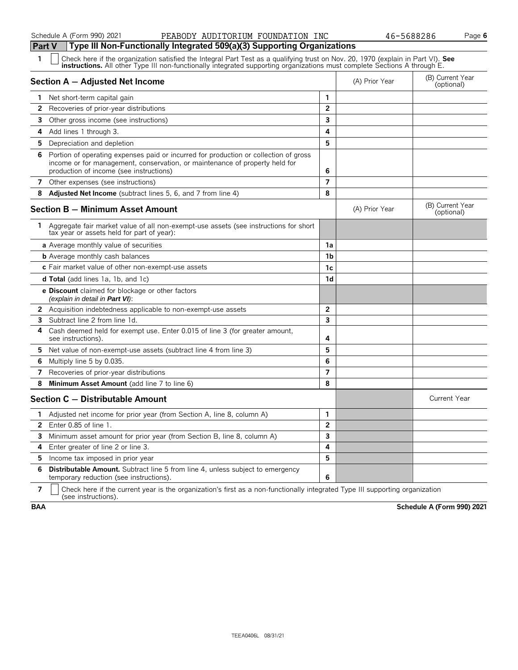#### Schedule A (Form 990) 2021 **PEABODY AUDITORIUM FOUNDATION INC**  $46-5688286$  Page **6**

| Part V | Type III Non-Functionally Integrated 509(a)(3) Supporting Organizations                                                                                                                                                        |                          |                |                                |
|--------|--------------------------------------------------------------------------------------------------------------------------------------------------------------------------------------------------------------------------------|--------------------------|----------------|--------------------------------|
| 1      | Check here if the organization satisfied the Integral Part Test as a qualifying trust on Nov. 20, 1970 (explain in Part VI). See instructions. All other Type III non-functionally integrated supporting organizations must co |                          |                |                                |
|        | Section A - Adjusted Net Income                                                                                                                                                                                                |                          | (A) Prior Year | (B) Current Year<br>(optional) |
| 1.     | Net short-term capital gain                                                                                                                                                                                                    | $\mathbf{1}$             |                |                                |
| 2      | Recoveries of prior-year distributions                                                                                                                                                                                         | $\overline{2}$           |                |                                |
| 3      | Other gross income (see instructions)                                                                                                                                                                                          | 3                        |                |                                |
| 4      | Add lines 1 through 3.                                                                                                                                                                                                         | 4                        |                |                                |
| 5.     | Depreciation and depletion                                                                                                                                                                                                     | 5                        |                |                                |
| 6.     | Portion of operating expenses paid or incurred for production or collection of gross<br>income or for management, conservation, or maintenance of property held for<br>production of income (see instructions)                 | 6                        |                |                                |
| 7      | Other expenses (see instructions)                                                                                                                                                                                              | $\overline{7}$           |                |                                |
| 8      | <b>Adjusted Net Income</b> (subtract lines 5, 6, and 7 from line 4)                                                                                                                                                            | 8                        |                |                                |
|        | <b>Section B - Minimum Asset Amount</b>                                                                                                                                                                                        |                          | (A) Prior Year | (B) Current Year<br>(optional) |
| 1.     | Aggregate fair market value of all non-exempt-use assets (see instructions for short<br>tax year or assets held for part of year):                                                                                             |                          |                |                                |
|        | <b>a</b> Average monthly value of securities                                                                                                                                                                                   | 1a                       |                |                                |
|        | <b>b</b> Average monthly cash balances                                                                                                                                                                                         | 1 <sub>b</sub>           |                |                                |
|        | c Fair market value of other non-exempt-use assets                                                                                                                                                                             | 1c                       |                |                                |
|        | <b>d Total</b> (add lines 1a, 1b, and 1c)                                                                                                                                                                                      | 1d                       |                |                                |
|        | e Discount claimed for blockage or other factors<br>(explain in detail in Part VI):                                                                                                                                            |                          |                |                                |
|        | 2 Acquisition indebtedness applicable to non-exempt-use assets                                                                                                                                                                 | $\overline{\mathbf{c}}$  |                |                                |
| 3      | Subtract line 2 from line 1d.                                                                                                                                                                                                  | 3                        |                |                                |
| 4      | Cash deemed held for exempt use. Enter 0.015 of line 3 (for greater amount,<br>see instructions).                                                                                                                              | 4                        |                |                                |
| 5.     | Net value of non-exempt-use assets (subtract line 4 from line 3)                                                                                                                                                               | 5                        |                |                                |
| 6      | Multiply line 5 by 0.035.                                                                                                                                                                                                      | 6                        |                |                                |
| 7      | Recoveries of prior-year distributions                                                                                                                                                                                         | $\overline{\phantom{a}}$ |                |                                |
| 8      | Minimum Asset Amount (add line 7 to line 6)                                                                                                                                                                                    | 8                        |                |                                |
|        | Section C - Distributable Amount                                                                                                                                                                                               |                          |                | <b>Current Year</b>            |
| 1.     | Adjusted net income for prior year (from Section A, line 8, column A)                                                                                                                                                          | $\mathbf{1}$             |                |                                |
| 2      | Enter 0.85 of line 1.                                                                                                                                                                                                          | $\overline{2}$           |                |                                |
| 3      | Minimum asset amount for prior year (from Section B, line 8, column A)                                                                                                                                                         | $\overline{\mathbf{3}}$  |                |                                |
| 4      | Enter greater of line 2 or line 3.                                                                                                                                                                                             | 4                        |                |                                |
| 5.     | Income tax imposed in prior year                                                                                                                                                                                               | 5                        |                |                                |
| 6      | <b>Distributable Amount.</b> Subtract line 5 from line 4, unless subject to emergency<br>temporary reduction (see instructions).                                                                                               | 6                        |                |                                |

**7**  $\mid$  Check here if the current year is the organization's first as a non-functionally integrated Type III supporting organization (see instructions).

**BAA Schedule A (Form 990) 2021**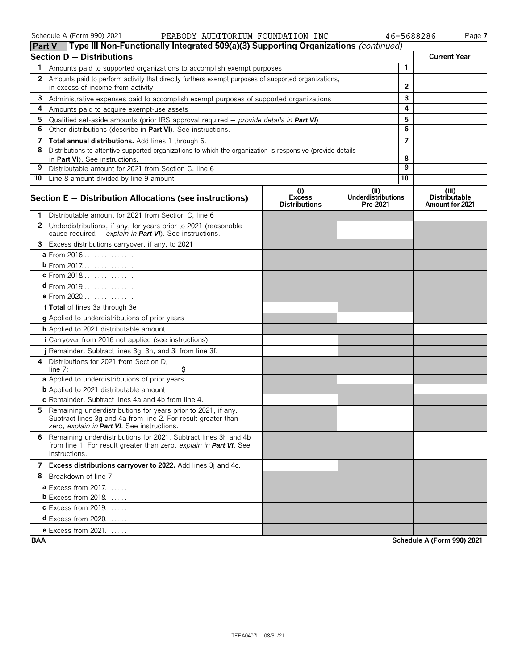| ⊪rart v | <b>I</b> Type iii Non-Functionally integrated 509(a)(5) Supporting Organizations ( <i>continued)</i>                                                                            |                                              |                                              |              |                                                  |
|---------|---------------------------------------------------------------------------------------------------------------------------------------------------------------------------------|----------------------------------------------|----------------------------------------------|--------------|--------------------------------------------------|
|         | <b>Section D - Distributions</b>                                                                                                                                                |                                              |                                              |              | <b>Current Year</b>                              |
| 1.      | Amounts paid to supported organizations to accomplish exempt purposes                                                                                                           |                                              |                                              | 1            |                                                  |
|         | 2 Amounts paid to perform activity that directly furthers exempt purposes of supported organizations,                                                                           |                                              |                                              |              |                                                  |
|         | in excess of income from activity                                                                                                                                               |                                              |                                              | $\mathbf{2}$ |                                                  |
|         | 3 Administrative expenses paid to accomplish exempt purposes of supported organizations                                                                                         |                                              |                                              | 3            |                                                  |
| 4       | Amounts paid to acquire exempt-use assets                                                                                                                                       |                                              |                                              | 4            |                                                  |
| 5.      | Qualified set-aside amounts (prior IRS approval required $-$ provide details in Part VI)                                                                                        |                                              |                                              | 5            |                                                  |
| 6       | Other distributions (describe in Part VI). See instructions.                                                                                                                    |                                              |                                              | 6            |                                                  |
|         | 7 Total annual distributions. Add lines 1 through 6.                                                                                                                            |                                              |                                              | 7            |                                                  |
| 8       | Distributions to attentive supported organizations to which the organization is responsive (provide details                                                                     |                                              |                                              | 8            |                                                  |
| 9       | in Part VI). See instructions.<br>Distributable amount for 2021 from Section C, line 6                                                                                          |                                              |                                              | 9            |                                                  |
|         | 10 Line 8 amount divided by line 9 amount                                                                                                                                       |                                              |                                              | 10           |                                                  |
|         |                                                                                                                                                                                 |                                              |                                              |              |                                                  |
|         | Section E - Distribution Allocations (see instructions)                                                                                                                         | (i)<br><b>Excess</b><br><b>Distributions</b> | (i)<br><b>Underdistributions</b><br>Pre-2021 |              | (iii)<br><b>Distributable</b><br>Amount for 2021 |
|         | 1 Distributable amount for 2021 from Section C, line 6                                                                                                                          |                                              |                                              |              |                                                  |
|         | 2 Underdistributions, if any, for years prior to 2021 (reasonable<br>cause required - explain in Part VI). See instructions.                                                    |                                              |                                              |              |                                                  |
|         | 3 Excess distributions carryover, if any, to 2021                                                                                                                               |                                              |                                              |              |                                                  |
|         | a From 2016                                                                                                                                                                     |                                              |                                              |              |                                                  |
|         | <b>b</b> From 2017.                                                                                                                                                             |                                              |                                              |              |                                                  |
|         | c From 2018                                                                                                                                                                     |                                              |                                              |              |                                                  |
|         | $d$ From 2019                                                                                                                                                                   |                                              |                                              |              |                                                  |
|         | e From 2020                                                                                                                                                                     |                                              |                                              |              |                                                  |
|         | f Total of lines 3a through 3e                                                                                                                                                  |                                              |                                              |              |                                                  |
|         | g Applied to underdistributions of prior years                                                                                                                                  |                                              |                                              |              |                                                  |
|         | h Applied to 2021 distributable amount                                                                                                                                          |                                              |                                              |              |                                                  |
|         | <i>i</i> Carryover from 2016 not applied (see instructions)                                                                                                                     |                                              |                                              |              |                                                  |
|         | j Remainder. Subtract lines 3g, 3h, and 3i from line 3f.                                                                                                                        |                                              |                                              |              |                                                  |
|         | 4 Distributions for 2021 from Section D.<br>\$<br>line 7:                                                                                                                       |                                              |                                              |              |                                                  |
|         | a Applied to underdistributions of prior years                                                                                                                                  |                                              |                                              |              |                                                  |
|         | <b>b</b> Applied to 2021 distributable amount                                                                                                                                   |                                              |                                              |              |                                                  |
|         | c Remainder. Subtract lines 4a and 4b from line 4.                                                                                                                              |                                              |                                              |              |                                                  |
|         | 5 Remaining underdistributions for years prior to 2021, if any.<br>Subtract lines 3g and 4a from line 2. For result greater than<br>zero, explain in Part VI. See instructions. |                                              |                                              |              |                                                  |
|         | 6 Remaining underdistributions for 2021. Subtract lines 3h and 4b<br>from line 1. For result greater than zero, explain in Part VI. See<br>instructions.                        |                                              |                                              |              |                                                  |
|         | 7 Excess distributions carryover to 2022. Add lines 3j and 4c.                                                                                                                  |                                              |                                              |              |                                                  |
|         | 8 Breakdown of line 7:                                                                                                                                                          |                                              |                                              |              |                                                  |
|         | <b>a</b> Excess from 2017.                                                                                                                                                      |                                              |                                              |              |                                                  |
|         | <b>b</b> Excess from 2018                                                                                                                                                       |                                              |                                              |              |                                                  |
|         | <b>c</b> Excess from 2019.                                                                                                                                                      |                                              |                                              |              |                                                  |
|         | $d$ Excess from 2020.                                                                                                                                                           |                                              |                                              |              |                                                  |
|         | e Excess from 2021.                                                                                                                                                             |                                              |                                              |              |                                                  |

**BAA Schedule A (Form 990) 2021**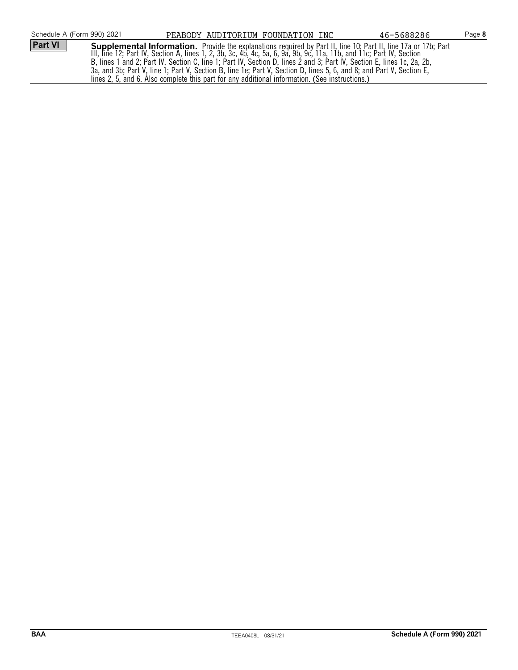| Schedule A (Form 990) 2021 | PEABODY AUDITORIUM FOUNDATION INC                                                                                                                                                                                                                                                                                                                                                                                                                                                                                                                                                      | 46-5688286 | Page 8 |
|----------------------------|----------------------------------------------------------------------------------------------------------------------------------------------------------------------------------------------------------------------------------------------------------------------------------------------------------------------------------------------------------------------------------------------------------------------------------------------------------------------------------------------------------------------------------------------------------------------------------------|------------|--------|
| Part VI                    | <b>Supplemental Information.</b> Provide the explanations required by Part II, line 10; Part II, line 17a or 17b; Part III, line 17a or 17b; Part III, line 17a or 17b; Part III, line 12; Part IV, Section A, lines 1, 2, 3b, 3c,<br>B, lines 1 and 2; Part IV, Section C, line 1; Part IV, Section D, lines 2 and 3; Part IV, Section E, lines 1c, 2a, 2b,<br>3a, and 3b; Part V, line 1; Part V, Section B, line 1e; Part V, Section D, lines 5, 6, and 8; and Part V, Section E,<br>lines 2, 5, and 6. Also complete this part for any additional information. (See instructions.) |            |        |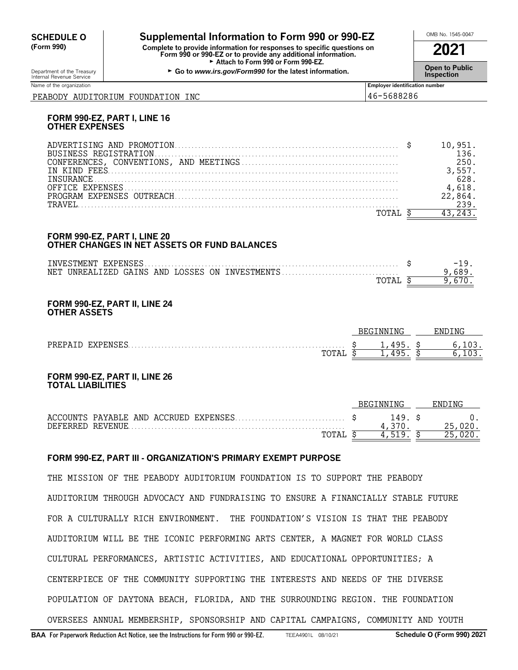# **CHEDULE O** Supplemental Information to Form 990 or 990-EZ<br>
(Form 990) Complete to provide information for responses to specific questions on

**(Form 990) Complete to provide information for responses to specific questions on Form 990 or 990-EZ or to provide any additional information. 2021** ► Attach to Form 990 or Form 990-EZ.

Department of the Treasury **Connect Connect Connect Connect Connect Connect Connect Connect Connect Connect Conne<br>Internal Revenue Service <b>Inspection** 

| Name of the organization                   | Emplover identification number |
|--------------------------------------------|--------------------------------|
| INC<br>FOUNDATION<br>AUDITORIUM<br>PEABODY | 46-5688286                     |

#### **FORM 990-EZ, PART I, LINE 16 OTHER EXPENSES**

#### **FORM 990-EZ, PART I, LINE 20 OTHER CHANGES IN NET ASSETS OR FUND BALANCES**

|     | TNVESTMENT  | EXPENSES |              |    |             | $\overline{\phantom{0}}$ |
|-----|-------------|----------|--------------|----|-------------|--------------------------|
| NET | IINRFALTZED | GAINS    | AND LOSSES ( | ON | TNVESTMENTS |                          |
|     |             |          |              |    | TOTA        |                          |

#### **FORM 990-EZ, PART II, LINE 24 OTHER ASSETS**

|                                                                         | ™G<br>NNI              | . NO<br>'NE |
|-------------------------------------------------------------------------|------------------------|-------------|
| <b>PREPA</b><br>XPENSE:<br>.<br>.<br>$T$ $\cap$ $T$ $\cap$ $T$<br>תמד∩ד | .<br>-<br>ונו ו<br>,,, |             |

#### **FORM 990-EZ, PART II, LINE 26 TOTAL LIABILITIES**

|  |  |                   | BEGINNING |      | ENDING |
|--|--|-------------------|-----------|------|--------|
|  |  |                   |           | 149. |        |
|  |  |                   |           |      |        |
|  |  | TOTA <sub>L</sub> | Д.        | 519  |        |

#### **FORM 990-EZ, PART III - ORGANIZATION'S PRIMARY EXEMPT PURPOSE**

THE MISSION OF THE PEABODY AUDITORIUM FOUNDATION IS TO SUPPORT THE PEABODY AUDITORIUM THROUGH ADVOCACY AND FUNDRAISING TO ENSURE A FINANCIALLY STABLE FUTURE FOR A CULTURALLY RICH ENVIRONMENT. THE FOUNDATION'S VISION IS THAT THE PEABODY AUDITORIUM WILL BE THE ICONIC PERFORMING ARTS CENTER, A MAGNET FOR WORLD CLASS CULTURAL PERFORMANCES, ARTISTIC ACTIVITIES, AND EDUCATIONAL OPPORTUNITIES; A CENTERPIECE OF THE COMMUNITY SUPPORTING THE INTERESTS AND NEEDS OF THE DIVERSE POPULATION OF DAYTONA BEACH, FLORIDA, AND THE SURROUNDING REGION. THE FOUNDATION OVERSEES ANNUAL MEMBERSHIP, SPONSORSHIP AND CAPITAL CAMPAIGNS, COMMUNITY AND YOUTH